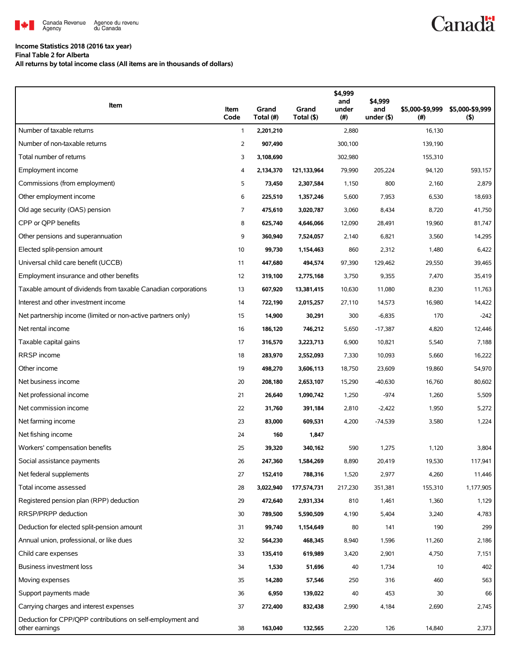

## **Income Statistics 2018 (2016 tax year)**

**Final Table 2 for Alberta**

**All returns by total income class (All items are in thousands of dollars)**

| Item                                                                         | Item<br>Code | Grand<br>Total (#) | Grand<br>Total (\$) | \$4,999<br>and<br>under<br>$(\#)$ | \$4,999<br>and<br>under (\$) | \$5,000-\$9,999<br>$($ # $)$ | \$5,000-\$9,999<br>$($ \$) |
|------------------------------------------------------------------------------|--------------|--------------------|---------------------|-----------------------------------|------------------------------|------------------------------|----------------------------|
| Number of taxable returns                                                    | 1            | 2,201,210          |                     | 2,880                             |                              | 16,130                       |                            |
| Number of non-taxable returns                                                | 2            | 907,490            |                     | 300,100                           |                              | 139,190                      |                            |
| Total number of returns                                                      | 3            | 3,108,690          |                     | 302,980                           |                              | 155,310                      |                            |
| <b>Employment income</b>                                                     | 4            | 2,134,370          | 121,133,964         | 79,990                            | 205,224                      | 94,120                       | 593,157                    |
| Commissions (from employment)                                                | 5            | 73,450             | 2,307,584           | 1,150                             | 800                          | 2,160                        | 2,879                      |
| Other employment income                                                      | 6            | 225,510            | 1,357,246           | 5,600                             | 7,953                        | 6,530                        | 18,693                     |
| Old age security (OAS) pension                                               | 7            | 475,610            | 3,020,787           | 3,060                             | 8,434                        | 8,720                        | 41,750                     |
| CPP or QPP benefits                                                          | 8            | 625,740            | 4,646,066           | 12,090                            | 28,491                       | 19,960                       | 81,747                     |
| Other pensions and superannuation                                            | 9            | 360,940            | 7,524,057           | 2,140                             | 6,821                        | 3,560                        | 14,295                     |
| Elected split-pension amount                                                 | 10           | 99,730             | 1,154,463           | 860                               | 2,312                        | 1,480                        | 6,422                      |
| Universal child care benefit (UCCB)                                          | 11           | 447,680            | 494,574             | 97,390                            | 129,462                      | 29,550                       | 39,465                     |
| Employment insurance and other benefits                                      | 12           | 319,100            | 2,775,168           | 3,750                             | 9,355                        | 7,470                        | 35,419                     |
| Taxable amount of dividends from taxable Canadian corporations               | 13           | 607,920            | 13,381,415          | 10,630                            | 11,080                       | 8,230                        | 11,763                     |
| Interest and other investment income                                         | 14           | 722,190            | 2,015,257           | 27,110                            | 14,573                       | 16,980                       | 14,422                     |
| Net partnership income (limited or non-active partners only)                 | 15           | 14,900             | 30,291              | 300                               | $-6,835$                     | 170                          | $-242$                     |
| Net rental income                                                            | 16           | 186,120            | 746,212             | 5,650                             | $-17,387$                    | 4,820                        | 12,446                     |
| Taxable capital gains                                                        | 17           | 316,570            | 3,223,713           | 6,900                             | 10,821                       | 5,540                        | 7,188                      |
| RRSP income                                                                  | 18           | 283,970            | 2,552,093           | 7,330                             | 10,093                       | 5,660                        | 16,222                     |
| Other income                                                                 | 19           | 498,270            | 3,606,113           | 18,750                            | 23,609                       | 19,860                       | 54,970                     |
| Net business income                                                          | 20           | 208,180            | 2,653,107           | 15,290                            | -40,630                      | 16,760                       | 80,602                     |
| Net professional income                                                      | 21           | 26,640             | 1,090,742           | 1,250                             | $-974$                       | 1,260                        | 5,509                      |
| Net commission income                                                        | 22           | 31,760             | 391,184             | 2,810                             | $-2,422$                     | 1,950                        | 5,272                      |
| Net farming income                                                           | 23           | 83,000             | 609,531             | 4,200                             | $-74,539$                    | 3,580                        | 1,224                      |
| Net fishing income                                                           | 24           | 160                | 1,847               |                                   |                              |                              |                            |
| Workers' compensation benefits                                               | 25           | 39,320             | 340,162             | 590                               | 1,275                        | 1,120                        | 3,804                      |
| Social assistance payments                                                   | 26           | 247,360            | 1,584,269           | 8,890                             | 20,419                       | 19,530                       | 117,941                    |
| Net federal supplements                                                      | 27           | 152,410            | 788,316             | 1,520                             | 2,977                        | 4,260                        | 11,446                     |
| Total income assessed                                                        | 28           | 3,022,940          | 177,574,731         | 217,230                           | 351,381                      | 155,310                      | 1,177,905                  |
| Registered pension plan (RPP) deduction                                      | 29           | 472,640            | 2,931,334           | 810                               | 1,461                        | 1,360                        | 1,129                      |
| RRSP/PRPP deduction                                                          | 30           | 789,500            | 5,590,509           | 4,190                             | 5,404                        | 3,240                        | 4,783                      |
| Deduction for elected split-pension amount                                   | 31           | 99,740             | 1,154,649           | 80                                | 141                          | 190                          | 299                        |
| Annual union, professional, or like dues                                     | 32           | 564,230            | 468,345             | 8,940                             | 1,596                        | 11,260                       | 2,186                      |
| Child care expenses                                                          | 33           | 135,410            | 619,989             | 3,420                             | 2,901                        | 4,750                        | 7,151                      |
| Business investment loss                                                     | 34           | 1,530              | 51,696              | 40                                | 1,734                        | 10                           | 402                        |
| Moving expenses                                                              | 35           | 14,280             | 57,546              | 250                               | 316                          | 460                          | 563                        |
| Support payments made                                                        | 36           | 6,950              | 139,022             | 40                                | 453                          | 30                           | 66                         |
| Carrying charges and interest expenses                                       | 37           | 272,400            | 832,438             | 2,990                             | 4,184                        | 2,690                        | 2,745                      |
| Deduction for CPP/QPP contributions on self-employment and<br>other earnings | 38           | 163,040            | 132,565             | 2,220                             | 126                          | 14,840                       | 2,373                      |

**Canadä**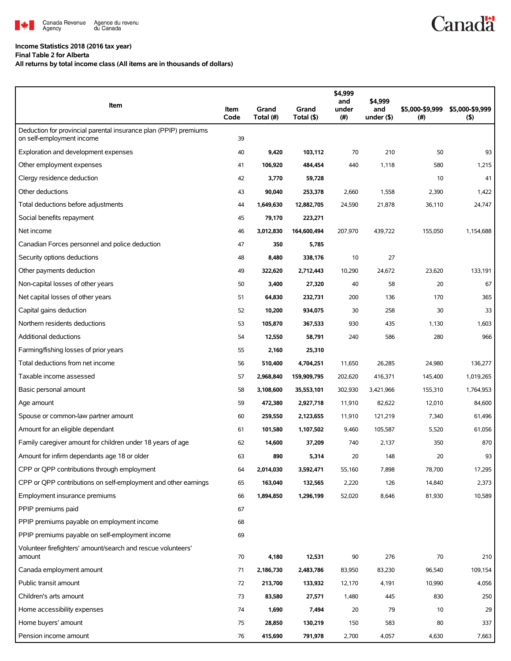

## **Income Statistics 2018 (2016 tax year)**

**Final Table 2 for Alberta**

**All returns by total income class (All items are in thousands of dollars)**

| Item                                                                                          | Item<br>Code | Grand<br>Total (#) | Grand<br>Total (\$) | \$4,999<br>and<br>under<br>$(\#)$ | \$4,999<br>and<br>under $($ \$) | \$5,000-\$9,999<br>(#) | \$5,000-\$9,999<br>$($ \$) |
|-----------------------------------------------------------------------------------------------|--------------|--------------------|---------------------|-----------------------------------|---------------------------------|------------------------|----------------------------|
| Deduction for provincial parental insurance plan (PPIP) premiums<br>on self-employment income | 39           |                    |                     |                                   |                                 |                        |                            |
| Exploration and development expenses                                                          | 40           | 9,420              | 103,112             | 70                                | 210                             | 50                     | 93                         |
| Other employment expenses                                                                     | 41           | 106,920            | 484,454             | 440                               | 1,118                           | 580                    | 1,215                      |
| Clergy residence deduction                                                                    | 42           | 3,770              | 59,728              |                                   |                                 | 10                     | 41                         |
| Other deductions                                                                              | 43           | 90,040             | 253,378             | 2,660                             | 1,558                           | 2,390                  | 1,422                      |
| Total deductions before adjustments                                                           | 44           | 1,649,630          | 12,882,705          | 24,590                            | 21,878                          | 36,110                 | 24,747                     |
| Social benefits repayment                                                                     | 45           | 79,170             | 223,271             |                                   |                                 |                        |                            |
| Net income                                                                                    | 46           | 3,012,830          | 164,600,494         | 207,970                           | 439,722                         | 155,050                | 1,154,688                  |
| Canadian Forces personnel and police deduction                                                | 47           | 350                | 5,785               |                                   |                                 |                        |                            |
| Security options deductions                                                                   | 48           | 8,480              | 338,176             | 10                                | 27                              |                        |                            |
| Other payments deduction                                                                      | 49           | 322,620            | 2,712,443           | 10,290                            | 24,672                          | 23,620                 | 133,191                    |
| Non-capital losses of other years                                                             | 50           | 3,400              | 27,320              | 40                                | 58                              | 20                     | 67                         |
| Net capital losses of other years                                                             | 51           | 64,830             | 232,731             | 200                               | 136                             | 170                    | 365                        |
| Capital gains deduction                                                                       | 52           | 10,200             | 934,075             | 30                                | 258                             | 30                     | 33                         |
| Northern residents deductions                                                                 | 53           | 105,870            | 367,533             | 930                               | 435                             | 1,130                  | 1,603                      |
| <b>Additional deductions</b>                                                                  | 54           | 12,550             | 58,791              | 240                               | 586                             | 280                    | 966                        |
| Farming/fishing losses of prior years                                                         | 55           | 2,160              | 25,310              |                                   |                                 |                        |                            |
| Total deductions from net income                                                              | 56           | 510,400            | 4,704,251           | 11,650                            | 26,285                          | 24,980                 | 136,277                    |
| Taxable income assessed                                                                       | 57           | 2,968,840          | 159,909,795         | 202,620                           | 416,371                         | 145,400                | 1,019,265                  |
| Basic personal amount                                                                         | 58           | 3,108,600          | 35,553,101          | 302,930                           | 3,421,966                       | 155,310                | 1,764,953                  |
| Age amount                                                                                    | 59           | 472,380            | 2,927,718           | 11,910                            | 82,622                          | 12,010                 | 84,600                     |
| Spouse or common-law partner amount                                                           | 60           | 259,550            | 2,123,655           | 11,910                            | 121,219                         | 7,340                  | 61,496                     |
| Amount for an eligible dependant                                                              | 61           | 101,580            | 1,107,502           | 9,460                             | 105,587                         | 5,520                  | 61,056                     |
| Family caregiver amount for children under 18 years of age                                    | 62           | 14,600             | 37,209              | 740                               | 2,137                           | 350                    | 870                        |
| Amount for infirm dependants age 18 or older                                                  | 63           | 890                | 5,314               | 20                                | 148                             | 20                     | 93                         |
| CPP or QPP contributions through employment                                                   | 64           | 2,014,030          | 3,592,471           | 55,160                            | 7,898                           | 78,700                 | 17,295                     |
| CPP or QPP contributions on self-employment and other earnings                                | 65           | 163,040            | 132,565             | 2,220                             | 126                             | 14,840                 | 2,373                      |
| Employment insurance premiums                                                                 | 66           | 1,894,850          | 1,296,199           | 52,020                            | 8,646                           | 81,930                 | 10,589                     |
| PPIP premiums paid                                                                            | 67           |                    |                     |                                   |                                 |                        |                            |
| PPIP premiums payable on employment income                                                    | 68           |                    |                     |                                   |                                 |                        |                            |
| PPIP premiums payable on self-employment income                                               | 69           |                    |                     |                                   |                                 |                        |                            |
| Volunteer firefighters' amount/search and rescue volunteers'<br>amount                        | 70           | 4,180              | 12,531              | 90                                | 276                             | 70                     | 210                        |
| Canada employment amount                                                                      | 71           | 2,186,730          | 2,483,786           | 83,950                            | 83,230                          | 96,540                 | 109,154                    |
| Public transit amount                                                                         | 72           | 213,700            | 133,932             | 12,170                            | 4,191                           | 10,990                 | 4,056                      |
| Children's arts amount                                                                        | 73           | 83,580             | 27,571              | 1,480                             | 445                             | 830                    | 250                        |
| Home accessibility expenses                                                                   | 74           | 1,690              | 7,494               | 20                                | 79                              | 10                     | 29                         |
| Home buyers' amount                                                                           | 75           | 28,850             | 130,219             | 150                               | 583                             | 80                     | 337                        |
| Pension income amount                                                                         | 76           | 415,690            | 791,978             | 2,700                             | 4,057                           | 4,630                  | 7,663                      |

**Canadä**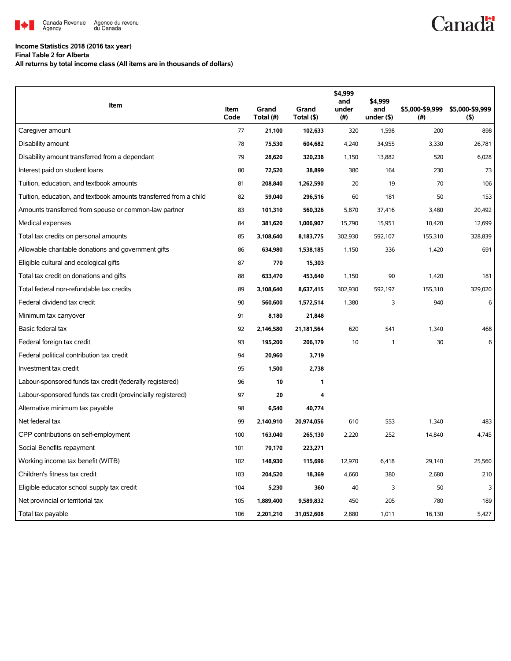

## **Income Statistics 2018 (2016 tax year)**

**Final Table 2 for Alberta**

**All returns by total income class (All items are in thousands of dollars)**

| Item                                                              | Item<br>Code | Grand<br>Total (#) | Grand<br>Total (\$) | \$4,999<br>and<br>under<br>(# ) | \$4,999<br>and<br>under $($ \$) | \$5,000-\$9,999<br>(# ) | \$5,000-\$9,999<br>$($ \$) |
|-------------------------------------------------------------------|--------------|--------------------|---------------------|---------------------------------|---------------------------------|-------------------------|----------------------------|
| Caregiver amount                                                  | 77           | 21,100             | 102,633             | 320                             | 1,598                           | 200                     | 898                        |
| Disability amount                                                 | 78           | 75,530             | 604,682             | 4,240                           | 34,955                          | 3,330                   | 26,781                     |
| Disability amount transferred from a dependant                    | 79           | 28,620             | 320,238             | 1,150                           | 13,882                          | 520                     | 6,028                      |
| Interest paid on student loans                                    | 80           | 72,520             | 38,899              | 380                             | 164                             | 230                     | 73                         |
| Tuition, education, and textbook amounts                          | 81           | 208,840            | 1,262,590           | 20                              | 19                              | 70                      | 106                        |
| Tuition, education, and textbook amounts transferred from a child | 82           | 59,040             | 296,516             | 60                              | 181                             | 50                      | 153                        |
| Amounts transferred from spouse or common-law partner             | 83           | 101,310            | 560,326             | 5,870                           | 37,416                          | 3,480                   | 20,492                     |
| Medical expenses                                                  | 84           | 381,620            | 1,006,907           | 15,790                          | 15,951                          | 10,420                  | 12,699                     |
| Total tax credits on personal amounts                             | 85           | 3,108,640          | 8,183,775           | 302,930                         | 592,107                         | 155,310                 | 328,839                    |
| Allowable charitable donations and government gifts               | 86           | 634,980            | 1,538,185           | 1,150                           | 336                             | 1,420                   | 691                        |
| Eligible cultural and ecological gifts                            | 87           | 770                | 15,303              |                                 |                                 |                         |                            |
| Total tax credit on donations and gifts                           | 88           | 633,470            | 453,640             | 1,150                           | 90                              | 1,420                   | 181                        |
| Total federal non-refundable tax credits                          | 89           | 3,108,640          | 8,637,415           | 302,930                         | 592,197                         | 155,310                 | 329,020                    |
| Federal dividend tax credit                                       | 90           | 560,600            | 1,572,514           | 1,380                           | 3                               | 940                     | 6                          |
| Minimum tax carryover                                             | 91           | 8,180              | 21,848              |                                 |                                 |                         |                            |
| Basic federal tax                                                 | 92           | 2,146,580          | 21,181,564          | 620                             | 541                             | 1,340                   | 468                        |
| Federal foreign tax credit                                        | 93           | 195,200            | 206,179             | 10                              | 1                               | 30                      | 6                          |
| Federal political contribution tax credit                         | 94           | 20,960             | 3,719               |                                 |                                 |                         |                            |
| Investment tax credit                                             | 95           | 1,500              | 2,738               |                                 |                                 |                         |                            |
| Labour-sponsored funds tax credit (federally registered)          | 96           | 10                 | 1                   |                                 |                                 |                         |                            |
| Labour-sponsored funds tax credit (provincially registered)       | 97           | 20                 | 4                   |                                 |                                 |                         |                            |
| Alternative minimum tax payable                                   | 98           | 6,540              | 40,774              |                                 |                                 |                         |                            |
| Net federal tax                                                   | 99           | 2,140,910          | 20,974,056          | 610                             | 553                             | 1,340                   | 483                        |
| CPP contributions on self-employment                              | 100          | 163,040            | 265,130             | 2,220                           | 252                             | 14,840                  | 4,745                      |
| Social Benefits repayment                                         | 101          | 79,170             | 223,271             |                                 |                                 |                         |                            |
| Working income tax benefit (WITB)                                 | 102          | 148,930            | 115,696             | 12,970                          | 6,418                           | 29,140                  | 25,560                     |
| Children's fitness tax credit                                     | 103          | 204,520            | 18,369              | 4,660                           | 380                             | 2,680                   | 210                        |
| Eligible educator school supply tax credit                        | 104          | 5,230              | 360                 | 40                              | 3                               | 50                      | 3                          |
| Net provincial or territorial tax                                 | 105          | 1,889,400          | 9,589,832           | 450                             | 205                             | 780                     | 189                        |
| Total tax payable                                                 | 106          | 2,201,210          | 31,052,608          | 2,880                           | 1,011                           | 16,130                  | 5,427                      |

## **Canadä**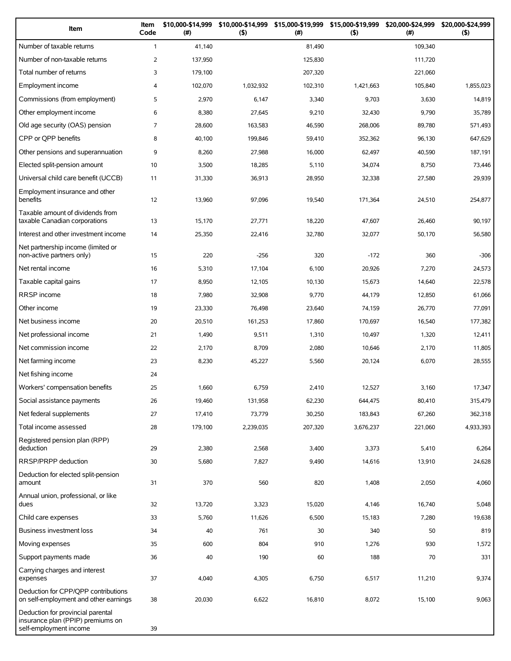| Item                                                                                             | Item<br>Code   | \$10,000-\$14,999<br>(# ) | \$10,000-\$14,999<br>(5) | \$15,000-\$19,999 \$15,000-\$19,999<br>(#) | (5)       | \$20,000-\$24,999<br>$(\#)$ | \$20,000-\$24,999<br>(5) |
|--------------------------------------------------------------------------------------------------|----------------|---------------------------|--------------------------|--------------------------------------------|-----------|-----------------------------|--------------------------|
| Number of taxable returns                                                                        | $\mathbf{1}$   | 41,140                    |                          | 81,490                                     |           | 109,340                     |                          |
| Number of non-taxable returns                                                                    | 2              | 137,950                   |                          | 125,830                                    |           | 111,720                     |                          |
| Total number of returns                                                                          | 3              | 179,100                   |                          | 207,320                                    |           | 221,060                     |                          |
| Employment income                                                                                | 4              | 102,070                   | 1,032,932                | 102,310                                    | 1,421,663 | 105,840                     | 1,855,023                |
| Commissions (from employment)                                                                    | 5              | 2,970                     | 6,147                    | 3,340                                      | 9,703     | 3,630                       | 14,819                   |
| Other employment income                                                                          | 6              | 8,380                     | 27,645                   | 9,210                                      | 32.430    | 9,790                       | 35,789                   |
| Old age security (OAS) pension                                                                   | $\overline{7}$ | 28,600                    | 163,583                  | 46,590                                     | 268,006   | 89,780                      | 571,493                  |
| CPP or QPP benefits                                                                              | 8              | 40,100                    | 199,846                  | 59,410                                     | 352,362   | 96,130                      | 647,629                  |
| Other pensions and superannuation                                                                | 9              | 8,260                     | 27,988                   | 16,000                                     | 62,497    | 40,590                      | 187,191                  |
| Elected split-pension amount                                                                     | 10             | 3,500                     | 18,285                   | 5,110                                      | 34,074    | 8,750                       | 73,446                   |
| Universal child care benefit (UCCB)                                                              | 11             | 31,330                    | 36,913                   | 28,950                                     | 32,338    | 27,580                      | 29,939                   |
| Employment insurance and other<br>benefits                                                       | 12             | 13,960                    | 97,096                   | 19,540                                     | 171,364   | 24,510                      | 254,877                  |
| Taxable amount of dividends from<br>taxable Canadian corporations                                | 13             | 15,170                    | 27,771                   | 18,220                                     | 47,607    | 26.460                      | 90,197                   |
| Interest and other investment income                                                             | 14             | 25,350                    | 22,416                   | 32,780                                     | 32,077    | 50,170                      | 56,580                   |
| Net partnership income (limited or<br>non-active partners only)                                  | 15             | 220                       | $-256$                   | 320                                        | $-172$    | 360                         | $-306$                   |
| Net rental income                                                                                | 16             | 5,310                     | 17,104                   | 6,100                                      | 20,926    | 7,270                       | 24,573                   |
| Taxable capital gains                                                                            | 17             | 8,950                     | 12,105                   | 10,130                                     | 15,673    | 14,640                      | 22,578                   |
| RRSP income                                                                                      | 18             | 7,980                     | 32,908                   | 9,770                                      | 44,179    | 12,850                      | 61,066                   |
| Other income                                                                                     | 19             | 23,330                    | 76,498                   | 23,640                                     | 74,159    | 26,770                      | 77,091                   |
| Net business income                                                                              | 20             | 20,510                    | 161,253                  | 17,860                                     | 170,697   | 16,540                      | 177,382                  |
| Net professional income                                                                          | 21             | 1,490                     | 9,511                    | 1,310                                      | 10,497    | 1,320                       | 12,411                   |
| Net commission income                                                                            | 22             | 2,170                     | 8,709                    | 2,080                                      | 10,646    | 2,170                       | 11,805                   |
| Net farming income                                                                               | 23             | 8,230                     | 45,227                   | 5,560                                      | 20,124    | 6,070                       | 28,555                   |
| Net fishing income                                                                               | 24             |                           |                          |                                            |           |                             |                          |
| Workers' compensation benefits                                                                   | 25             | 1,660                     | 6,759                    | 2,410                                      | 12,527    | 3,160                       | 17,347                   |
| Social assistance payments                                                                       | 26             | 19,460                    | 131,958                  | 62,230                                     | 644,475   | 80,410                      | 315,479                  |
| Net federal supplements                                                                          | 27             | 17,410                    | 73,779                   | 30,250                                     | 183,843   | 67,260                      | 362,318                  |
| Total income assessed                                                                            | 28             | 179,100                   | 2,239,035                | 207,320                                    | 3,676,237 | 221,060                     | 4,933,393                |
| Registered pension plan (RPP)<br>deduction                                                       | 29             | 2,380                     | 2,568                    | 3,400                                      | 3,373     | 5,410                       | 6,264                    |
| RRSP/PRPP deduction                                                                              | 30             | 5,680                     | 7,827                    | 9,490                                      | 14,616    | 13,910                      | 24,628                   |
| Deduction for elected split-pension<br>amount                                                    | 31             | 370                       | 560                      | 820                                        | 1,408     | 2,050                       | 4,060                    |
| Annual union, professional, or like<br>dues                                                      | 32             | 13,720                    | 3,323                    | 15,020                                     | 4,146     | 16,740                      | 5,048                    |
| Child care expenses                                                                              | 33             | 5,760                     | 11,626                   | 6,500                                      | 15,183    | 7,280                       | 19,638                   |
| Business investment loss                                                                         | 34             | 40                        | 761                      | 30                                         | 340       | 50                          | 819                      |
| Moving expenses                                                                                  | 35             | 600                       | 804                      | 910                                        | 1,276     | 930                         | 1,572                    |
| Support payments made                                                                            | 36             | 40                        | 190                      | 60                                         | 188       | 70                          | 331                      |
| Carrying charges and interest<br>expenses                                                        | 37             | 4,040                     | 4,305                    | 6,750                                      | 6,517     | 11,210                      | 9,374                    |
| Deduction for CPP/QPP contributions<br>on self-employment and other earnings                     | 38             | 20,030                    | 6,622                    | 16,810                                     | 8,072     | 15,100                      | 9,063                    |
| Deduction for provincial parental<br>insurance plan (PPIP) premiums on<br>self-employment income | 39             |                           |                          |                                            |           |                             |                          |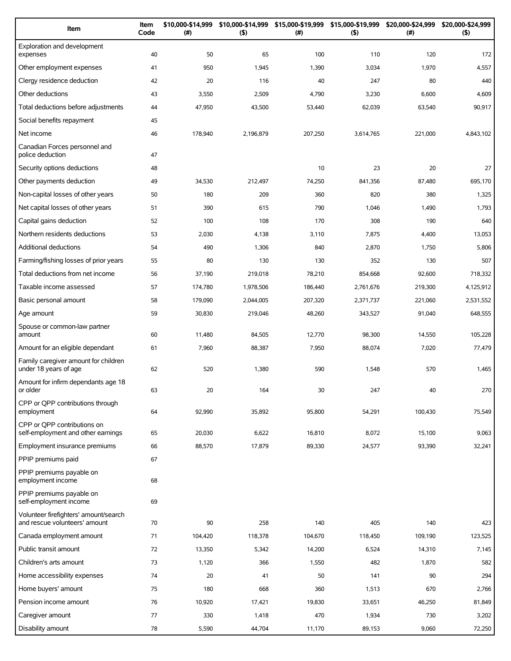| Item                                                                   | Item<br>Code | \$10,000-\$14,999<br>(#) | \$10,000-\$14,999<br>(5) | \$15,000-\$19,999<br>(#) | \$15,000-\$19,999<br>(5) | \$20,000-\$24,999<br>$(\#)$ | \$20,000-\$24,999<br>(5) |
|------------------------------------------------------------------------|--------------|--------------------------|--------------------------|--------------------------|--------------------------|-----------------------------|--------------------------|
| Exploration and development<br>expenses                                | 40           | 50                       | 65                       | 100                      | 110                      | 120                         | 172                      |
| Other employment expenses                                              | 41           | 950                      | 1,945                    | 1,390                    | 3,034                    | 1,970                       | 4,557                    |
| Clergy residence deduction                                             | 42           | 20                       | 116                      | 40                       | 247                      | 80                          | 440                      |
| Other deductions                                                       | 43           | 3,550                    | 2,509                    | 4,790                    | 3,230                    | 6,600                       | 4,609                    |
| Total deductions before adjustments                                    | 44           | 47,950                   | 43,500                   | 53,440                   | 62,039                   | 63,540                      | 90,917                   |
| Social benefits repayment                                              | 45           |                          |                          |                          |                          |                             |                          |
| Net income                                                             | 46           | 178,940                  | 2,196,879                | 207,250                  | 3,614,765                | 221,000                     | 4,843,102                |
| Canadian Forces personnel and<br>police deduction                      | 47           |                          |                          |                          |                          |                             |                          |
| Security options deductions                                            | 48           |                          |                          | 10                       | 23                       | 20                          | 27                       |
| Other payments deduction                                               | 49           | 34,530                   | 212,497                  | 74,250                   | 841,356                  | 87,480                      | 695,170                  |
| Non-capital losses of other years                                      | 50           | 180                      | 209                      | 360                      | 820                      | 380                         | 1,325                    |
| Net capital losses of other years                                      | 51           | 390                      | 615                      | 790                      | 1,046                    | 1,490                       | 1,793                    |
| Capital gains deduction                                                | 52           | 100                      | 108                      | 170                      | 308                      | 190                         | 640                      |
| Northern residents deductions                                          | 53           | 2,030                    | 4,138                    | 3,110                    | 7,875                    | 4,400                       | 13,053                   |
| <b>Additional deductions</b>                                           | 54           | 490                      | 1,306                    | 840                      | 2,870                    | 1,750                       | 5,806                    |
| Farming/fishing losses of prior years                                  | 55           | 80                       | 130                      | 130                      | 352                      | 130                         | 507                      |
| Total deductions from net income                                       | 56           | 37,190                   | 219,018                  | 78,210                   | 854,668                  | 92,600                      | 718,332                  |
| Taxable income assessed                                                | 57           | 174,780                  | 1,978,506                | 186,440                  | 2,761,676                | 219,300                     | 4,125,912                |
| Basic personal amount                                                  | 58           | 179,090                  | 2,044,005                | 207,320                  | 2,371,737                | 221,060                     | 2,531,552                |
| Age amount                                                             | 59           | 30,830                   | 219,046                  | 48,260                   | 343,527                  | 91,040                      | 648,555                  |
| Spouse or common-law partner<br>amount                                 | 60           | 11,480                   | 84,505                   | 12,770                   | 98,300                   | 14,550                      | 105,228                  |
| Amount for an eligible dependant                                       | 61           | 7,960                    | 88,387                   | 7,950                    | 88,074                   | 7,020                       | 77,479                   |
| Family caregiver amount for children<br>under 18 years of age          | 62           | 520                      | 1,380                    | 590                      | 1,548                    | 570                         | 1,465                    |
| Amount for infirm dependants age 18<br>or older                        | 63           | 20                       | 164                      | 30                       | 247                      | 40                          | 270                      |
| CPP or QPP contributions through<br>employment                         | 64           | 92,990                   | 35,892                   | 95,800                   | 54,291                   | 100,430                     | 75,549                   |
| CPP or OPP contributions on<br>self-employment and other earnings      | 65           | 20,030                   | 6,622                    | 16,810                   | 8,072                    | 15,100                      | 9,063                    |
| Employment insurance premiums                                          | 66           | 88,570                   | 17,879                   | 89,330                   | 24,577                   | 93,390                      | 32,241                   |
| PPIP premiums paid                                                     | 67           |                          |                          |                          |                          |                             |                          |
| PPIP premiums payable on<br>employment income                          | 68           |                          |                          |                          |                          |                             |                          |
| PPIP premiums payable on<br>self-employment income                     | 69           |                          |                          |                          |                          |                             |                          |
| Volunteer firefighters' amount/search<br>and rescue volunteers' amount | 70           | 90                       | 258                      | 140                      | 405                      | 140                         | 423                      |
| Canada employment amount                                               | 71           | 104,420                  | 118,378                  | 104,670                  | 118,450                  | 109,190                     | 123,525                  |
| Public transit amount                                                  | 72           | 13,350                   | 5,342                    | 14,200                   | 6,524                    | 14,310                      | 7,145                    |
| Children's arts amount                                                 | 73           | 1,120                    | 366                      | 1,550                    | 482                      | 1,870                       | 582                      |
| Home accessibility expenses                                            | 74           | 20                       | 41                       | 50                       | 141                      | 90                          | 294                      |
| Home buyers' amount                                                    | 75           | 180                      | 668                      | 360                      | 1,513                    | 670                         | 2,766                    |
| Pension income amount                                                  | 76           | 10,920                   | 17,421                   | 19,830                   | 33,651                   | 46,250                      | 81,849                   |
| Caregiver amount                                                       | 77           | 330                      | 1,418                    | 470                      | 1,934                    | 730                         | 3,202                    |
| Disability amount                                                      | 78           | 5,590                    | 44,704                   | 11,170                   | 89,153                   | 9,060                       | 72,250                   |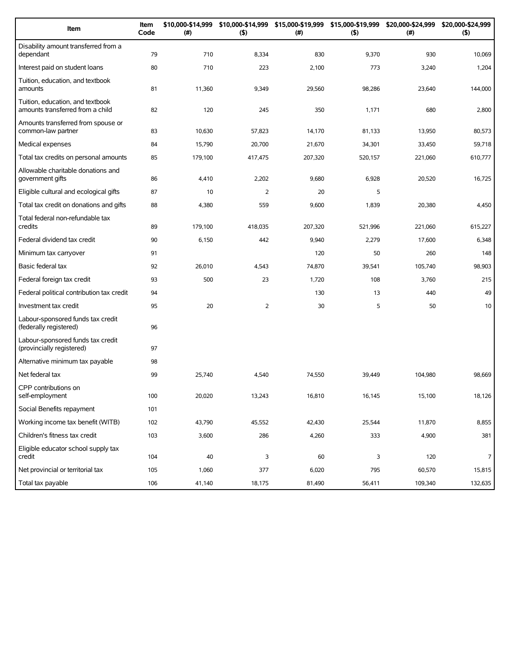| Item                                                                 | Item<br>Code | \$10,000-\$14,999<br>(#) | (5)            | \$10,000-\$14,999 \$15,000-\$19,999 \$15,000-\$19,999<br>(# ) | (5)     | \$20,000-\$24,999<br>(#) | \$20,000-\$24,999<br>(5) |
|----------------------------------------------------------------------|--------------|--------------------------|----------------|---------------------------------------------------------------|---------|--------------------------|--------------------------|
| Disability amount transferred from a<br>dependant                    | 79           | 710                      | 8,334          | 830                                                           | 9,370   | 930                      | 10,069                   |
| Interest paid on student loans                                       | 80           | 710                      | 223            | 2,100                                                         | 773     | 3,240                    | 1,204                    |
| Tuition, education, and textbook<br>amounts                          | 81           | 11,360                   | 9,349          | 29,560                                                        | 98,286  | 23,640                   | 144,000                  |
| Tuition, education, and textbook<br>amounts transferred from a child | 82           | 120                      | 245            | 350                                                           | 1,171   | 680                      | 2,800                    |
| Amounts transferred from spouse or<br>common-law partner             | 83           | 10,630                   | 57,823         | 14,170                                                        | 81,133  | 13,950                   | 80,573                   |
| Medical expenses                                                     | 84           | 15,790                   | 20,700         | 21,670                                                        | 34,301  | 33,450                   | 59,718                   |
| Total tax credits on personal amounts                                | 85           | 179,100                  | 417,475        | 207,320                                                       | 520,157 | 221,060                  | 610,777                  |
| Allowable charitable donations and<br>government gifts               | 86           | 4,410                    | 2,202          | 9,680                                                         | 6,928   | 20,520                   | 16,725                   |
| Eligible cultural and ecological gifts                               | 87           | 10                       | $\overline{2}$ | 20                                                            | 5       |                          |                          |
| Total tax credit on donations and gifts                              | 88           | 4,380                    | 559            | 9,600                                                         | 1,839   | 20,380                   | 4,450                    |
| Total federal non-refundable tax<br>credits                          | 89           | 179,100                  | 418,035        | 207,320                                                       | 521,996 | 221,060                  | 615,227                  |
| Federal dividend tax credit                                          | 90           | 6,150                    | 442            | 9,940                                                         | 2,279   | 17,600                   | 6,348                    |
| Minimum tax carryover                                                | 91           |                          |                | 120                                                           | 50      | 260                      | 148                      |
| Basic federal tax                                                    | 92           | 26,010                   | 4,543          | 74,870                                                        | 39,541  | 105,740                  | 98,903                   |
| Federal foreign tax credit                                           | 93           | 500                      | 23             | 1,720                                                         | 108     | 3,760                    | 215                      |
| Federal political contribution tax credit                            | 94           |                          |                | 130                                                           | 13      | 440                      | 49                       |
| Investment tax credit                                                | 95           | 20                       | $\overline{2}$ | 30                                                            | 5       | 50                       | 10                       |
| Labour-sponsored funds tax credit<br>(federally registered)          | 96           |                          |                |                                                               |         |                          |                          |
| Labour-sponsored funds tax credit<br>(provincially registered)       | 97           |                          |                |                                                               |         |                          |                          |
| Alternative minimum tax payable                                      | 98           |                          |                |                                                               |         |                          |                          |
| Net federal tax                                                      | 99           | 25,740                   | 4,540          | 74,550                                                        | 39,449  | 104,980                  | 98,669                   |
| CPP contributions on<br>self-employment                              | 100          | 20,020                   | 13,243         | 16,810                                                        | 16,145  | 15,100                   | 18,126                   |
| Social Benefits repayment                                            | 101          |                          |                |                                                               |         |                          |                          |
| Working income tax benefit (WITB)                                    | 102          | 43,790                   | 45,552         | 42,430                                                        | 25,544  | 11,870                   | 8,855                    |
| Children's fitness tax credit                                        | 103          | 3,600                    | 286            | 4,260                                                         | 333     | 4,900                    | 381                      |
| Eligible educator school supply tax<br>credit                        | 104          | 40                       | 3              | 60                                                            | 3       | 120                      | $\overline{7}$           |
| Net provincial or territorial tax                                    | 105          | 1,060                    | 377            | 6,020                                                         | 795     | 60,570                   | 15,815                   |
| Total tax payable                                                    | 106          | 41,140                   | 18,175         | 81,490                                                        | 56,411  | 109,340                  | 132,635                  |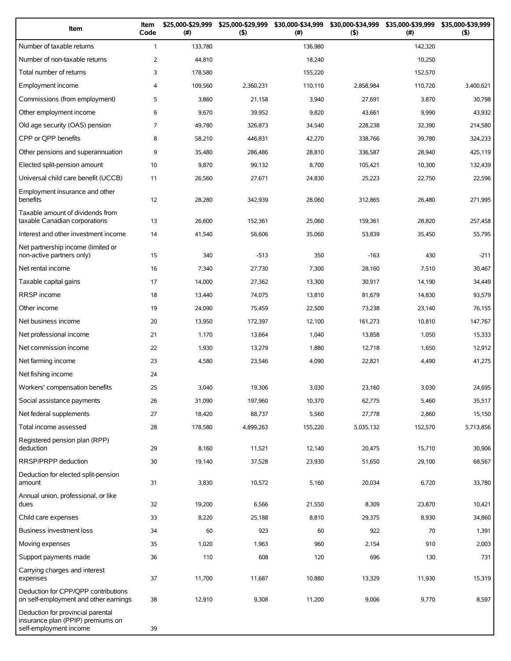| Item                                                                                             | Item<br>Code   | \$25,000-\$29,999<br>(# ) | \$25,000-\$29,999<br>(5) | \$30,000-\$34,999<br>(# ) | \$30,000-\$34,999<br>(5) | \$35,000-\$39,999<br>(#) | \$35,000-\$39,999<br>(5) |
|--------------------------------------------------------------------------------------------------|----------------|---------------------------|--------------------------|---------------------------|--------------------------|--------------------------|--------------------------|
| Number of taxable returns                                                                        | $\mathbf{1}$   | 133,780                   |                          | 136,980                   |                          | 142,320                  |                          |
| Number of non-taxable returns                                                                    | $\overline{2}$ | 44,810                    |                          | 18,240                    |                          | 10,250                   |                          |
| Total number of returns                                                                          | 3              | 178,580                   |                          | 155,220                   |                          | 152,570                  |                          |
| Employment income                                                                                | 4              | 109,560                   | 2,360,231                | 110,110                   | 2,858,984                | 110,720                  | 3,400,621                |
| Commissions (from employment)                                                                    | 5              | 3,860                     | 21,158                   | 3,940                     | 27,691                   | 3,870                    | 30,798                   |
| Other employment income                                                                          | 6              | 9,670                     | 39,952                   | 9,820                     | 43,661                   | 9,990                    | 43,932                   |
| Old age security (OAS) pension                                                                   | $\overline{7}$ | 49,780                    | 326,873                  | 34,540                    | 228,238                  | 32,390                   | 214,580                  |
| CPP or QPP benefits                                                                              | 8              | 58,210                    | 446,831                  | 42,270                    | 338,766                  | 39,780                   | 324,233                  |
| Other pensions and superannuation                                                                | 9              | 35,480                    | 286,486                  | 28,810                    | 336,587                  | 28,940                   | 425,119                  |
| Elected split-pension amount                                                                     | 10             | 9,870                     | 99,132                   | 8,700                     | 105,421                  | 10,300                   | 132,439                  |
| Universal child care benefit (UCCB)                                                              | 11             | 26,560                    | 27,671                   | 24,830                    | 25,223                   | 22,750                   | 22,596                   |
| Employment insurance and other<br>benefits                                                       | 12             | 28,280                    | 342,939                  | 28,060                    | 312,865                  | 26,480                   | 271,995                  |
| Taxable amount of dividends from<br>taxable Canadian corporations                                | 13             | 26,600                    | 152,361                  | 25,060                    | 159.361                  | 28,820                   | 257,458                  |
| Interest and other investment income                                                             | 14             | 41,540                    | 56,606                   | 35,060                    | 53,839                   | 35,450                   | 55,795                   |
| Net partnership income (limited or<br>non-active partners only)                                  | 15             | 340                       | $-513$                   | 350                       | $-163$                   | 430                      | $-211$                   |
| Net rental income                                                                                | 16             | 7,340                     | 27,730                   | 7,300                     | 28,160                   | 7,510                    | 30,467                   |
| Taxable capital gains                                                                            | 17             | 14,000                    | 27,362                   | 13,300                    | 30,917                   | 14,190                   | 34,449                   |
| <b>RRSP</b> income                                                                               | 18             | 13,440                    | 74,075                   | 13,810                    | 81,679                   | 14,830                   | 93,579                   |
| Other income                                                                                     | 19             | 24,090                    | 75,459                   | 22,500                    | 73,238                   | 23,140                   | 76,155                   |
| Net business income                                                                              | 20             | 13,950                    | 172,397                  | 12,100                    | 161,273                  | 10,810                   | 147,767                  |
| Net professional income                                                                          | 21             | 1,170                     | 13,664                   | 1,040                     | 13,858                   | 1,050                    | 15,333                   |
| Net commission income                                                                            | 22             | 1,930                     | 13,279                   | 1,880                     | 12,718                   | 1,650                    | 12,912                   |
| Net farming income                                                                               | 23             | 4,580                     | 23,546                   | 4,090                     | 22,821                   | 4,490                    | 41,275                   |
| Net fishing income                                                                               | 24             |                           |                          |                           |                          |                          |                          |
| Workers' compensation benefits                                                                   | 25             | 3,040                     | 19,306                   | 3,030                     | 23,160                   | 3,030                    | 24,695                   |
| Social assistance payments                                                                       | 26             | 31,090                    | 197,960                  | 10,370                    | 62,775                   | 5,460                    | 35,517                   |
| Net federal supplements                                                                          | 27             | 18,420                    | 88,737                   | 5,560                     | 27,778                   | 2,860                    | 15,150                   |
| Total income assessed                                                                            | 28             | 178,580                   | 4,899,263                | 155,220                   | 5,035,132                | 152,570                  | 5,713,856                |
| Registered pension plan (RPP)<br>deduction                                                       | 29             | 8,160                     | 11,521                   | 12,140                    | 20,475                   | 15,710                   | 30,906                   |
| RRSP/PRPP deduction                                                                              | 30             | 19,140                    | 37,528                   | 23,930                    | 51,650                   | 29,100                   | 68,567                   |
| Deduction for elected split-pension<br>amount                                                    | 31             | 3,830                     | 10,572                   | 5,160                     | 20,034                   | 6,720                    | 33,780                   |
| Annual union, professional, or like<br>dues                                                      | 32             | 19,200                    | 6,566                    | 21,550                    | 8,309                    | 23,870                   | 10,421                   |
| Child care expenses                                                                              | 33             | 8,220                     | 25,188                   | 8,810                     | 29,375                   | 8,930                    | 34,860                   |
| Business investment loss                                                                         | 34             | 60                        | 923                      | 60                        | 922                      | 70                       | 1,391                    |
| Moving expenses                                                                                  | 35             | 1,020                     | 1,963                    | 960                       | 2,154                    | 910                      | 2,003                    |
| Support payments made                                                                            | 36             | 110                       | 608                      | 120                       | 696                      | 130                      | 731                      |
| Carrying charges and interest                                                                    |                |                           |                          |                           |                          |                          |                          |
| expenses                                                                                         | 37             | 11,700                    | 11,687                   | 10,880                    | 13,329                   | 11,930                   | 15,319                   |
| Deduction for CPP/QPP contributions<br>on self-employment and other earnings                     | 38             | 12,910                    | 9,308                    | 11,200                    | 9,006                    | 9,770                    | 8,597                    |
| Deduction for provincial parental<br>insurance plan (PPIP) premiums on<br>self-employment income | 39             |                           |                          |                           |                          |                          |                          |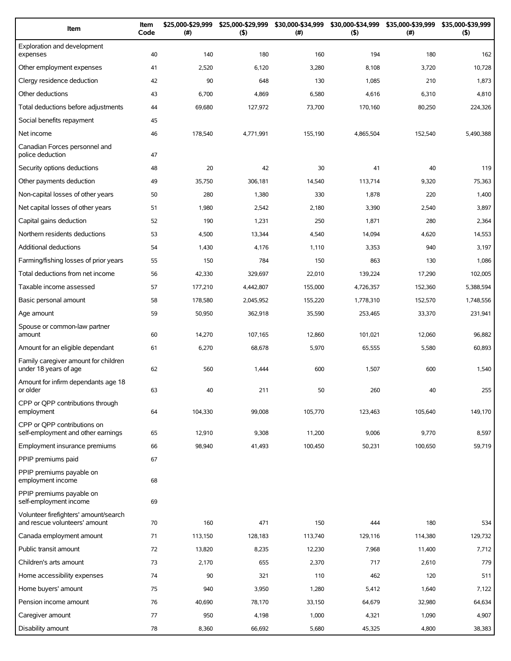| Item                                                                   | Item<br>Code | \$25,000-\$29,999<br>(#) | \$25,000-\$29,999<br>(5) | \$30,000-\$34,999<br>(#) | \$30,000-\$34,999<br>(5) | \$35,000-\$39,999<br>$(\#)$ | \$35,000-\$39,999<br>(5) |
|------------------------------------------------------------------------|--------------|--------------------------|--------------------------|--------------------------|--------------------------|-----------------------------|--------------------------|
| Exploration and development<br>expenses                                | 40           | 140                      | 180                      | 160                      | 194                      | 180                         | 162                      |
| Other employment expenses                                              | 41           | 2,520                    | 6,120                    | 3,280                    | 8,108                    | 3,720                       | 10,728                   |
| Clergy residence deduction                                             | 42           | 90                       | 648                      | 130                      | 1,085                    | 210                         | 1,873                    |
| Other deductions                                                       | 43           | 6,700                    | 4,869                    | 6,580                    | 4,616                    | 6,310                       | 4,810                    |
| Total deductions before adjustments                                    | 44           | 69,680                   | 127,972                  | 73,700                   | 170,160                  | 80,250                      | 224,326                  |
| Social benefits repayment                                              | 45           |                          |                          |                          |                          |                             |                          |
| Net income                                                             | 46           | 178,540                  | 4,771,991                | 155,190                  | 4,865,504                | 152,540                     | 5,490,388                |
| Canadian Forces personnel and<br>police deduction                      | 47           |                          |                          |                          |                          |                             |                          |
| Security options deductions                                            | 48           | 20                       | 42                       | 30                       | 41                       | 40                          | 119                      |
| Other payments deduction                                               | 49           | 35,750                   | 306,181                  | 14,540                   | 113,714                  | 9,320                       | 75,363                   |
| Non-capital losses of other years                                      | 50           | 280                      | 1,380                    | 330                      | 1,878                    | 220                         | 1,400                    |
| Net capital losses of other years                                      | 51           | 1,980                    | 2,542                    | 2,180                    | 3,390                    | 2,540                       | 3,897                    |
| Capital gains deduction                                                | 52           | 190                      | 1,231                    | 250                      | 1,871                    | 280                         | 2,364                    |
| Northern residents deductions                                          | 53           | 4,500                    | 13,344                   | 4,540                    | 14,094                   | 4,620                       | 14,553                   |
| <b>Additional deductions</b>                                           | 54           | 1,430                    | 4,176                    | 1,110                    | 3,353                    | 940                         | 3,197                    |
| Farming/fishing losses of prior years                                  | 55           | 150                      | 784                      | 150                      | 863                      | 130                         | 1,086                    |
| Total deductions from net income                                       | 56           | 42,330                   | 329,697                  | 22,010                   | 139,224                  | 17,290                      | 102,005                  |
| Taxable income assessed                                                | 57           | 177,210                  | 4,442,807                | 155,000                  | 4,726,357                | 152,360                     | 5,388,594                |
| Basic personal amount                                                  | 58           | 178,580                  | 2,045,952                | 155,220                  | 1,778,310                | 152,570                     | 1,748,556                |
| Age amount                                                             | 59           | 50,950                   | 362,918                  | 35,590                   | 253,465                  | 33,370                      | 231,941                  |
| Spouse or common-law partner<br>amount                                 | 60           | 14,270                   | 107,165                  | 12,860                   | 101,021                  | 12,060                      | 96,882                   |
| Amount for an eligible dependant                                       | 61           | 6,270                    | 68,678                   | 5,970                    | 65,555                   | 5,580                       | 60,893                   |
| Family caregiver amount for children<br>under 18 years of age          | 62           | 560                      | 1,444                    | 600                      | 1,507                    | 600                         | 1,540                    |
| Amount for infirm dependants age 18<br>or older                        | 63           | 40                       | 211                      | 50                       | 260                      | 40                          | 255                      |
| CPP or OPP contributions through<br>employment                         | 64           | 104,330                  | 99,008                   | 105,770                  | 123,463                  | 105,640                     | 149,170                  |
| CPP or OPP contributions on<br>self-employment and other earnings      | 65           | 12,910                   | 9,308                    | 11,200                   | 9,006                    | 9,770                       | 8,597                    |
| Employment insurance premiums                                          | 66           | 98,940                   | 41,493                   | 100,450                  | 50,231                   | 100,650                     | 59,719                   |
| PPIP premiums paid                                                     | 67           |                          |                          |                          |                          |                             |                          |
| PPIP premiums payable on<br>employment income                          | 68           |                          |                          |                          |                          |                             |                          |
| PPIP premiums payable on<br>self-employment income                     | 69           |                          |                          |                          |                          |                             |                          |
| Volunteer firefighters' amount/search<br>and rescue volunteers' amount | 70           | 160                      | 471                      | 150                      | 444                      | 180                         | 534                      |
| Canada employment amount                                               | 71           | 113,150                  | 128,183                  | 113,740                  | 129,116                  | 114,380                     | 129,732                  |
| Public transit amount                                                  | 72           | 13,820                   | 8,235                    | 12,230                   | 7,968                    | 11,400                      | 7,712                    |
| Children's arts amount                                                 | 73           | 2,170                    | 655                      | 2,370                    | 717                      | 2,610                       | 779                      |
| Home accessibility expenses                                            | 74           | 90                       | 321                      | 110                      | 462                      | 120                         | 511                      |
| Home buyers' amount                                                    | 75           | 940                      | 3,950                    | 1,280                    | 5,412                    | 1,640                       | 7,122                    |
| Pension income amount                                                  | 76           | 40,690                   | 78,170                   | 33,150                   | 64,679                   | 32,980                      | 64,634                   |
| Caregiver amount                                                       | 77           | 950                      | 4,198                    | 1,000                    | 4,321                    | 1,090                       | 4,907                    |
| Disability amount                                                      | 78           | 8,360                    | 66,692                   | 5,680                    | 45,325                   | 4,800                       | 38,383                   |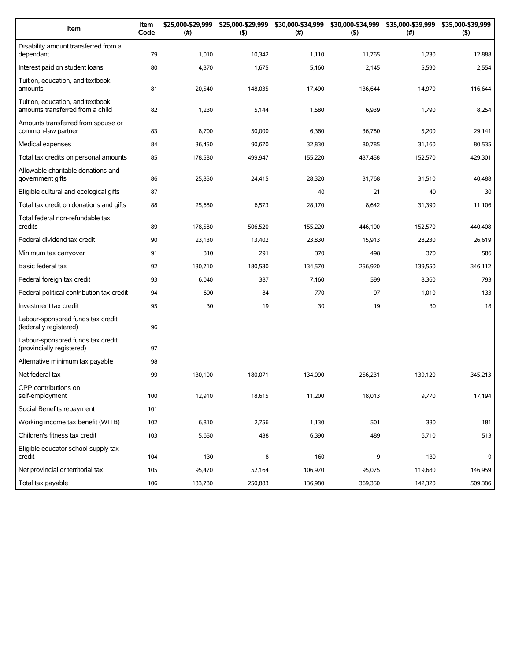| Item                                                                 | Item<br>Code | \$25,000-\$29,999<br>(#) | \$25,000-\$29,999<br>(5) | \$30,000-\$34,999<br>(#) | (5)     | \$30,000-\$34,999 \$35,000-\$39,999<br>$(\#)$ | \$35,000-\$39,999<br>(5) |
|----------------------------------------------------------------------|--------------|--------------------------|--------------------------|--------------------------|---------|-----------------------------------------------|--------------------------|
| Disability amount transferred from a<br>dependant                    | 79           | 1,010                    | 10,342                   | 1,110                    | 11,765  | 1,230                                         | 12,888                   |
| Interest paid on student loans                                       | 80           | 4,370                    | 1,675                    | 5,160                    | 2,145   | 5,590                                         | 2,554                    |
| Tuition, education, and textbook<br>amounts                          | 81           | 20,540                   | 148,035                  | 17,490                   | 136,644 | 14,970                                        | 116,644                  |
| Tuition, education, and textbook<br>amounts transferred from a child | 82           | 1,230                    | 5,144                    | 1,580                    | 6,939   | 1,790                                         | 8,254                    |
| Amounts transferred from spouse or<br>common-law partner             | 83           | 8,700                    | 50,000                   | 6,360                    | 36,780  | 5,200                                         | 29,141                   |
| Medical expenses                                                     | 84           | 36,450                   | 90,670                   | 32,830                   | 80,785  | 31,160                                        | 80,535                   |
| Total tax credits on personal amounts                                | 85           | 178,580                  | 499,947                  | 155,220                  | 437,458 | 152,570                                       | 429,301                  |
| Allowable charitable donations and<br>government gifts               | 86           | 25,850                   | 24,415                   | 28,320                   | 31,768  | 31,510                                        | 40,488                   |
| Eligible cultural and ecological gifts                               | 87           |                          |                          | 40                       | 21      | 40                                            | 30                       |
| Total tax credit on donations and gifts                              | 88           | 25,680                   | 6,573                    | 28,170                   | 8,642   | 31,390                                        | 11,106                   |
| Total federal non-refundable tax<br>credits                          | 89           | 178,580                  | 506,520                  | 155,220                  | 446,100 | 152,570                                       | 440,408                  |
| Federal dividend tax credit                                          | 90           | 23,130                   | 13,402                   | 23,830                   | 15,913  | 28,230                                        | 26,619                   |
| Minimum tax carryover                                                | 91           | 310                      | 291                      | 370                      | 498     | 370                                           | 586                      |
| Basic federal tax                                                    | 92           | 130,710                  | 180,530                  | 134,570                  | 256,920 | 139,550                                       | 346,112                  |
| Federal foreign tax credit                                           | 93           | 6,040                    | 387                      | 7,160                    | 599     | 8,360                                         | 793                      |
| Federal political contribution tax credit                            | 94           | 690                      | 84                       | 770                      | 97      | 1,010                                         | 133                      |
| Investment tax credit                                                | 95           | 30                       | 19                       | 30                       | 19      | 30                                            | 18                       |
| Labour-sponsored funds tax credit<br>(federally registered)          | 96           |                          |                          |                          |         |                                               |                          |
| Labour-sponsored funds tax credit<br>(provincially registered)       | 97           |                          |                          |                          |         |                                               |                          |
| Alternative minimum tax payable                                      | 98           |                          |                          |                          |         |                                               |                          |
| Net federal tax                                                      | 99           | 130,100                  | 180,071                  | 134,090                  | 256,231 | 139,120                                       | 345,213                  |
| CPP contributions on<br>self-employment                              | 100          | 12,910                   | 18,615                   | 11,200                   | 18,013  | 9,770                                         | 17,194                   |
| Social Benefits repayment                                            | 101          |                          |                          |                          |         |                                               |                          |
| Working income tax benefit (WITB)                                    | 102          | 6,810                    | 2,756                    | 1,130                    | 501     | 330                                           | 181                      |
| Children's fitness tax credit                                        | 103          | 5,650                    | 438                      | 6,390                    | 489     | 6,710                                         | 513                      |
| Eligible educator school supply tax<br>credit                        | 104          | 130                      | 8                        | 160                      | 9       | 130                                           | 9                        |
| Net provincial or territorial tax                                    | 105          | 95,470                   | 52,164                   | 106,970                  | 95,075  | 119,680                                       | 146,959                  |
| Total tax payable                                                    | 106          | 133,780                  | 250,883                  | 136,980                  | 369,350 | 142,320                                       | 509,386                  |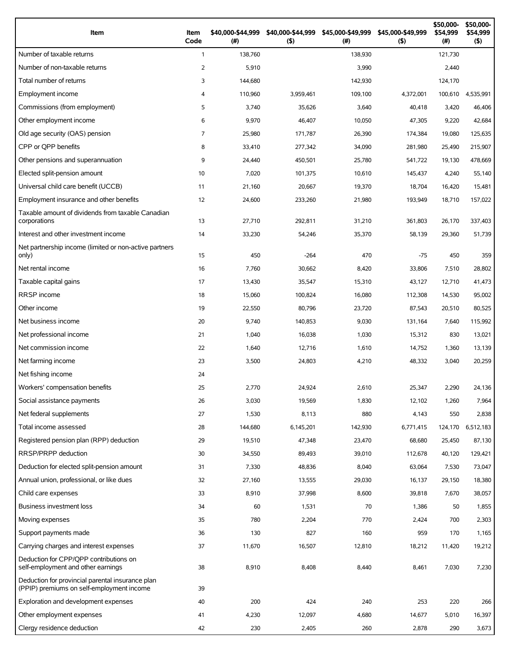| Item                                                                                          | Item<br>Code   | \$40,000-\$44,999<br>$($ #) | \$40,000-\$44,999<br>(5) | \$45,000-\$49,999<br>$(\#)$ | \$45,000-\$49,999<br>(5) | \$50,000-<br>\$54,999<br>(# ) | \$50,000-<br>\$54,999<br>(5) |
|-----------------------------------------------------------------------------------------------|----------------|-----------------------------|--------------------------|-----------------------------|--------------------------|-------------------------------|------------------------------|
| Number of taxable returns                                                                     | $\mathbf{1}$   | 138,760                     |                          | 138,930                     |                          | 121,730                       |                              |
| Number of non-taxable returns                                                                 | 2              | 5,910                       |                          | 3,990                       |                          | 2,440                         |                              |
| Total number of returns                                                                       | 3              | 144,680                     |                          | 142,930                     |                          | 124,170                       |                              |
| Employment income                                                                             | $\overline{4}$ | 110,960                     | 3,959,461                | 109,100                     | 4,372,001                | 100,610                       | 4,535,991                    |
| Commissions (from employment)                                                                 | 5              | 3,740                       | 35,626                   | 3,640                       | 40,418                   | 3,420                         | 46,406                       |
| Other employment income                                                                       | 6              | 9,970                       | 46,407                   | 10,050                      | 47,305                   | 9,220                         | 42,684                       |
| Old age security (OAS) pension                                                                | $\overline{7}$ | 25,980                      | 171,787                  | 26,390                      | 174,384                  | 19,080                        | 125,635                      |
| CPP or OPP benefits                                                                           | 8              | 33,410                      | 277,342                  | 34,090                      | 281,980                  | 25,490                        | 215,907                      |
| Other pensions and superannuation                                                             | 9              | 24,440                      | 450,501                  | 25,780                      | 541,722                  | 19,130                        | 478,669                      |
| Elected split-pension amount                                                                  | 10             | 7,020                       | 101,375                  | 10,610                      | 145,437                  | 4,240                         | 55,140                       |
| Universal child care benefit (UCCB)                                                           | 11             | 21,160                      | 20,667                   | 19,370                      | 18,704                   | 16,420                        | 15,481                       |
| Employment insurance and other benefits                                                       | 12             | 24,600                      | 233,260                  | 21,980                      | 193,949                  | 18,710                        | 157,022                      |
| Taxable amount of dividends from taxable Canadian<br>corporations                             | 13             | 27,710                      | 292,811                  | 31,210                      | 361,803                  | 26,170                        | 337,403                      |
| Interest and other investment income                                                          | 14             | 33,230                      | 54,246                   | 35,370                      | 58,139                   | 29,360                        | 51,739                       |
| Net partnership income (limited or non-active partners<br>only)                               | 15             | 450                         | $-264$                   | 470                         | $-75$                    | 450                           | 359                          |
| Net rental income                                                                             | 16             | 7,760                       | 30,662                   | 8,420                       | 33,806                   | 7,510                         | 28,802                       |
| Taxable capital gains                                                                         | 17             | 13,430                      | 35,547                   | 15,310                      | 43,127                   | 12,710                        | 41,473                       |
| <b>RRSP</b> income                                                                            | 18             | 15,060                      | 100,824                  | 16,080                      | 112,308                  | 14,530                        | 95,002                       |
| Other income                                                                                  | 19             | 22,550                      | 80,796                   | 23,720                      | 87,543                   | 20,510                        | 80,525                       |
| Net business income                                                                           | 20             | 9,740                       | 140,853                  | 9,030                       | 131,164                  | 7,640                         | 115,992                      |
| Net professional income                                                                       | 21             | 1,040                       | 16,038                   | 1,030                       | 15,312                   | 830                           | 13,021                       |
| Net commission income                                                                         | 22             | 1,640                       | 12,716                   | 1,610                       | 14,752                   | 1,360                         | 13,139                       |
| Net farming income                                                                            | 23             | 3,500                       | 24,803                   | 4,210                       | 48,332                   | 3,040                         | 20,259                       |
| Net fishing income                                                                            | 24             |                             |                          |                             |                          |                               |                              |
| Workers' compensation benefits                                                                | 25             | 2,770                       | 24,924                   | 2,610                       | 25,347                   | 2,290                         | 24,136                       |
| Social assistance payments                                                                    | 26             | 3,030                       | 19,569                   | 1,830                       | 12,102                   | 1,260                         | 7,964                        |
| Net federal supplements                                                                       | 27             | 1,530                       | 8,113                    | 880                         | 4,143                    | 550                           | 2,838                        |
| Total income assessed                                                                         | 28             | 144,680                     | 6,145,201                | 142,930                     | 6,771,415                | 124,170                       | 6,512,183                    |
| Registered pension plan (RPP) deduction                                                       | 29             | 19,510                      | 47,348                   | 23,470                      | 68,680                   | 25,450                        | 87,130                       |
| RRSP/PRPP deduction                                                                           | 30             | 34,550                      | 89,493                   | 39,010                      | 112,678                  | 40,120                        | 129,421                      |
| Deduction for elected split-pension amount                                                    | 31             | 7,330                       | 48,836                   | 8,040                       | 63,064                   | 7,530                         | 73,047                       |
| Annual union, professional, or like dues                                                      | 32             | 27,160                      | 13,555                   | 29,030                      | 16,137                   | 29,150                        | 18,380                       |
| Child care expenses                                                                           | 33             | 8,910                       | 37,998                   | 8,600                       | 39,818                   | 7,670                         | 38,057                       |
| Business investment loss                                                                      | 34             | 60                          | 1,531                    | 70                          | 1,386                    | 50                            | 1,855                        |
| Moving expenses                                                                               | 35             | 780                         | 2,204                    | 770                         | 2,424                    | 700                           | 2,303                        |
| Support payments made                                                                         | 36             | 130                         | 827                      | 160                         | 959                      | 170                           | 1,165                        |
| Carrying charges and interest expenses                                                        | 37             | 11,670                      | 16,507                   | 12,810                      | 18,212                   | 11,420                        | 19,212                       |
| Deduction for CPP/QPP contributions on<br>self-employment and other earnings                  | 38             | 8,910                       | 8,408                    | 8,440                       | 8,461                    | 7,030                         | 7,230                        |
| Deduction for provincial parental insurance plan<br>(PPIP) premiums on self-employment income | 39             |                             |                          |                             |                          |                               |                              |
| Exploration and development expenses                                                          | 40             | 200                         | 424                      | 240                         | 253                      | 220                           | 266                          |
| Other employment expenses                                                                     | 41             | 4,230                       | 12,097                   | 4,680                       | 14,677                   | 5,010                         | 16,397                       |
| Clergy residence deduction                                                                    | 42             | 230                         | 2,405                    | 260                         | 2,878                    | 290                           | 3,673                        |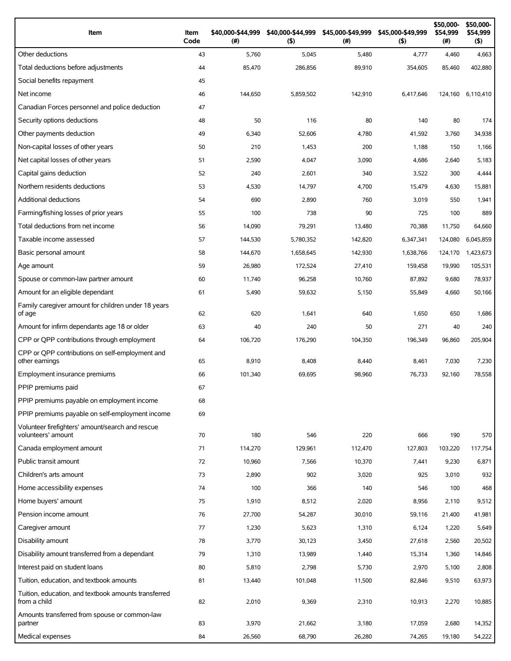| Item                                                                   | Item<br>Code | \$40,000-\$44,999<br>$($ #) | \$40,000-\$44,999<br>(5) | \$45,000-\$49,999<br>(# ) | \$45,000-\$49,999<br>(5) | \$50,000-<br>\$54,999<br>(#) | \$50,000-<br>\$54,999<br>$($ \$) |
|------------------------------------------------------------------------|--------------|-----------------------------|--------------------------|---------------------------|--------------------------|------------------------------|----------------------------------|
| Other deductions                                                       | 43           | 5,760                       | 5,045                    | 5,480                     | 4,777                    | 4,460                        | 4,663                            |
| Total deductions before adjustments                                    | 44           | 85,470                      | 286,856                  | 89,910                    | 354,605                  | 85,460                       | 402,880                          |
| Social benefits repayment                                              | 45           |                             |                          |                           |                          |                              |                                  |
| Net income                                                             | 46           | 144,650                     | 5,859,502                | 142,910                   | 6,417,646                | 124,160                      | 6,110,410                        |
| Canadian Forces personnel and police deduction                         | 47           |                             |                          |                           |                          |                              |                                  |
| Security options deductions                                            | 48           | 50                          | 116                      | 80                        | 140                      | 80                           | 174                              |
| Other payments deduction                                               | 49           | 6,340                       | 52,606                   | 4,780                     | 41,592                   | 3,760                        | 34,938                           |
| Non-capital losses of other years                                      | 50           | 210                         | 1,453                    | 200                       | 1,188                    | 150                          | 1,166                            |
| Net capital losses of other years                                      | 51           | 2,590                       | 4,047                    | 3,090                     | 4,686                    | 2,640                        | 5,183                            |
| Capital gains deduction                                                | 52           | 240                         | 2,601                    | 340                       | 3,522                    | 300                          | 4,444                            |
| Northern residents deductions                                          | 53           | 4,530                       | 14,797                   | 4,700                     | 15,479                   | 4,630                        | 15,881                           |
| Additional deductions                                                  | 54           | 690                         | 2,890                    | 760                       | 3,019                    | 550                          | 1,941                            |
| Farming/fishing losses of prior years                                  | 55           | 100                         | 738                      | 90                        | 725                      | 100                          | 889                              |
| Total deductions from net income                                       | 56           | 14,090                      | 79,291                   | 13,480                    | 70,388                   | 11,750                       | 64,660                           |
| Taxable income assessed                                                | 57           | 144,530                     | 5,780,352                | 142,820                   | 6,347,341                | 124,080                      | 6,045,859                        |
| Basic personal amount                                                  | 58           | 144,670                     | 1,658,645                | 142,930                   | 1,638,766                | 124,170                      | 1,423,673                        |
| Age amount                                                             | 59           | 26,980                      | 172,524                  | 27,410                    | 159,458                  | 19,990                       | 105,531                          |
| Spouse or common-law partner amount                                    | 60           | 11,740                      | 96,258                   | 10,760                    | 87,892                   | 9,680                        | 78,937                           |
| Amount for an eligible dependant                                       | 61           | 5,490                       | 59,632                   | 5,150                     | 55,849                   | 4,660                        | 50,166                           |
| Family caregiver amount for children under 18 years<br>of age          | 62           | 620                         | 1,641                    | 640                       | 1,650                    | 650                          | 1,686                            |
| Amount for infirm dependants age 18 or older                           | 63           | 40                          | 240                      | 50                        | 271                      | 40                           | 240                              |
| CPP or QPP contributions through employment                            | 64           | 106,720                     | 176,290                  | 104,350                   | 196,349                  | 96,860                       | 205,904                          |
| CPP or OPP contributions on self-employment and<br>other earnings      | 65           | 8,910                       | 8,408                    | 8,440                     | 8,461                    | 7,030                        | 7,230                            |
| Employment insurance premiums                                          | 66           | 101,340                     | 69,695                   | 98,960                    | 76,733                   | 92,160                       | 78,558                           |
| PPIP premiums paid                                                     | 67           |                             |                          |                           |                          |                              |                                  |
| PPIP premiums payable on employment income                             | 68           |                             |                          |                           |                          |                              |                                  |
| PPIP premiums payable on self-employment income                        | 69           |                             |                          |                           |                          |                              |                                  |
| Volunteer firefighters' amount/search and rescue<br>volunteers' amount | 70           | 180                         | 546                      | 220                       | 666                      | 190                          | 570                              |
| Canada employment amount                                               | 71           | 114,270                     | 129,961                  | 112,470                   | 127,803                  | 103,220                      | 117,754                          |
| Public transit amount                                                  | 72           | 10,960                      | 7,566                    | 10,370                    | 7,441                    | 9,230                        | 6,871                            |
| Children's arts amount                                                 | 73           | 2,890                       | 902                      | 3,020                     | 925                      | 3,010                        | 932                              |
| Home accessibility expenses                                            | 74           | 100                         | 366                      | 140                       | 546                      | 100                          | 468                              |
| Home buyers' amount                                                    | 75           | 1,910                       | 8,512                    | 2,020                     | 8,956                    | 2,110                        | 9,512                            |
| Pension income amount                                                  | 76           | 27,700                      | 54,287                   | 30,010                    | 59,116                   | 21,400                       | 41,981                           |
| Caregiver amount                                                       | 77           | 1,230                       | 5,623                    | 1,310                     | 6,124                    | 1,220                        | 5,649                            |
| Disability amount                                                      | 78           | 3,770                       | 30,123                   | 3,450                     | 27,618                   | 2,560                        | 20,502                           |
| Disability amount transferred from a dependant                         | 79           | 1,310                       | 13,989                   | 1,440                     | 15,314                   | 1,360                        | 14,846                           |
| Interest paid on student loans                                         | 80           | 5,810                       | 2,798                    | 5,730                     | 2,970                    | 5,100                        | 2,808                            |
| Tuition, education, and textbook amounts                               |              |                             |                          |                           |                          |                              |                                  |
| Tuition, education, and textbook amounts transferred                   | 81           | 13,440                      | 101,048                  | 11,500                    | 82,846                   | 9,510                        | 63,973                           |
| from a child                                                           | 82           | 2,010                       | 9,369                    | 2,310                     | 10,913                   | 2,270                        | 10,885                           |
| Amounts transferred from spouse or common-law<br>partner               | 83           | 3,970                       | 21,662                   | 3,180                     | 17,059                   | 2,680                        | 14,352                           |
| Medical expenses                                                       | 84           | 26,560                      | 68,790                   | 26,280                    | 74,265                   | 19,180                       | 54,222                           |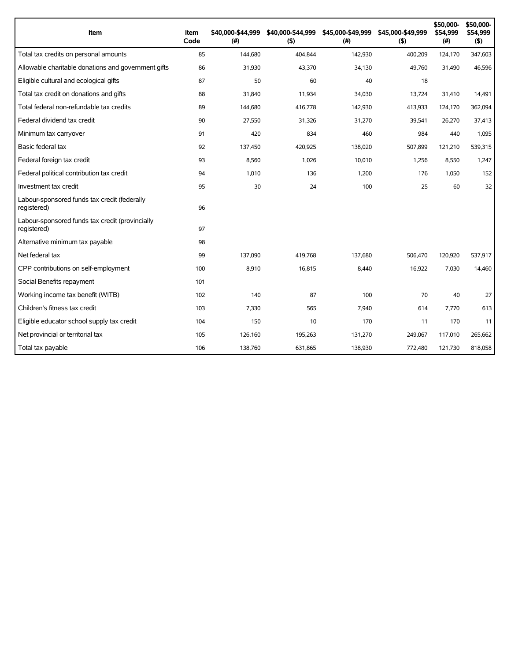| Item                                                           | Item<br>Code | \$40,000-\$44,999<br>(#) | \$40,000-\$44,999<br>(5) | \$45,000-\$49,999<br>(# ) | \$45,000-\$49,999<br>(5) | \$50,000-<br>\$54,999<br>(#) | \$50,000-<br>\$54,999<br>$($ \$) |
|----------------------------------------------------------------|--------------|--------------------------|--------------------------|---------------------------|--------------------------|------------------------------|----------------------------------|
| Total tax credits on personal amounts                          | 85           | 144,680                  | 404,844                  | 142,930                   | 400,209                  | 124,170                      | 347,603                          |
| Allowable charitable donations and government gifts            | 86           | 31,930                   | 43,370                   | 34,130                    | 49,760                   | 31,490                       | 46,596                           |
| Eligible cultural and ecological gifts                         | 87           | 50                       | 60                       | 40                        | 18                       |                              |                                  |
| Total tax credit on donations and gifts                        | 88           | 31,840                   | 11,934                   | 34,030                    | 13,724                   | 31,410                       | 14,491                           |
| Total federal non-refundable tax credits                       | 89           | 144,680                  | 416,778                  | 142,930                   | 413,933                  | 124,170                      | 362,094                          |
| Federal dividend tax credit                                    | 90           | 27,550                   | 31,326                   | 31,270                    | 39,541                   | 26,270                       | 37,413                           |
| Minimum tax carryover                                          | 91           | 420                      | 834                      | 460                       | 984                      | 440                          | 1,095                            |
| Basic federal tax                                              | 92           | 137,450                  | 420,925                  | 138,020                   | 507,899                  | 121,210                      | 539,315                          |
| Federal foreign tax credit                                     | 93           | 8,560                    | 1,026                    | 10,010                    | 1,256                    | 8,550                        | 1,247                            |
| Federal political contribution tax credit                      | 94           | 1,010                    | 136                      | 1,200                     | 176                      | 1,050                        | 152                              |
| Investment tax credit                                          | 95           | 30                       | 24                       | 100                       | 25                       | 60                           | 32                               |
| Labour-sponsored funds tax credit (federally<br>registered)    | 96           |                          |                          |                           |                          |                              |                                  |
| Labour-sponsored funds tax credit (provincially<br>registered) | 97           |                          |                          |                           |                          |                              |                                  |
| Alternative minimum tax payable                                | 98           |                          |                          |                           |                          |                              |                                  |
| Net federal tax                                                | 99           | 137,090                  | 419,768                  | 137,680                   | 506,470                  | 120,920                      | 537,917                          |
| CPP contributions on self-employment                           | 100          | 8,910                    | 16,815                   | 8,440                     | 16,922                   | 7,030                        | 14,460                           |
| Social Benefits repayment                                      | 101          |                          |                          |                           |                          |                              |                                  |
| Working income tax benefit (WITB)                              | 102          | 140                      | 87                       | 100                       | 70                       | 40                           | 27                               |
| Children's fitness tax credit                                  | 103          | 7,330                    | 565                      | 7,940                     | 614                      | 7,770                        | 613                              |
| Eligible educator school supply tax credit                     | 104          | 150                      | 10                       | 170                       | 11                       | 170                          | 11                               |
| Net provincial or territorial tax                              | 105          | 126,160                  | 195,263                  | 131,270                   | 249,067                  | 117,010                      | 265,662                          |
| Total tax payable                                              | 106          | 138,760                  | 631,865                  | 138,930                   | 772,480                  | 121,730                      | 818,058                          |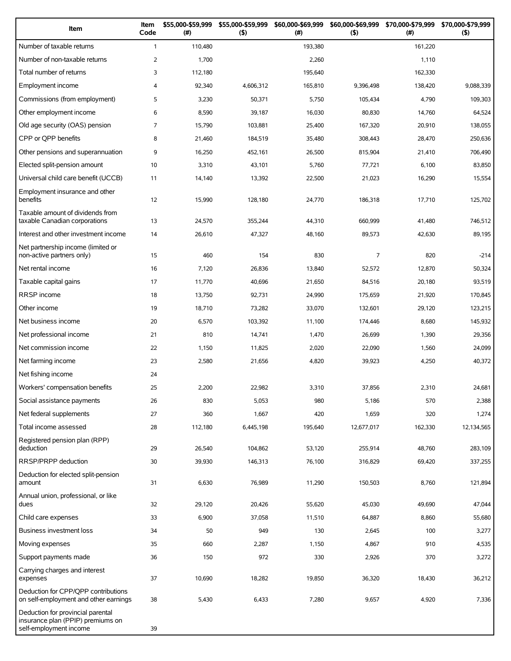| Item                                                                                             | Item<br>Code   | \$55,000-\$59,999<br>(#) | \$55,000-\$59,999<br>(5) | \$60,000-\$69,999<br>(#) | \$60,000-\$69,999<br>(5) | \$70,000-\$79,999<br>(#) | \$70,000-\$79,999<br>(5) |
|--------------------------------------------------------------------------------------------------|----------------|--------------------------|--------------------------|--------------------------|--------------------------|--------------------------|--------------------------|
| Number of taxable returns                                                                        | $\mathbf{1}$   | 110,480                  |                          | 193,380                  |                          | 161,220                  |                          |
| Number of non-taxable returns                                                                    | $\overline{2}$ | 1,700                    |                          | 2,260                    |                          | 1,110                    |                          |
| Total number of returns                                                                          | 3              | 112,180                  |                          | 195,640                  |                          | 162,330                  |                          |
| Employment income                                                                                | 4              | 92,340                   | 4,606,312                | 165,810                  | 9,396,498                | 138,420                  | 9,088,339                |
| Commissions (from employment)                                                                    | 5              | 3,230                    | 50,371                   | 5,750                    | 105,434                  | 4,790                    | 109,303                  |
| Other employment income                                                                          | 6              | 8,590                    | 39,187                   | 16,030                   | 80,830                   | 14,760                   | 64,524                   |
| Old age security (OAS) pension                                                                   | $\overline{7}$ | 15,790                   | 103,881                  | 25,400                   | 167,320                  | 20,910                   | 138,055                  |
| CPP or QPP benefits                                                                              | 8              | 21,460                   | 184,519                  | 35,480                   | 308,443                  | 28,470                   | 250,636                  |
| Other pensions and superannuation                                                                | 9              | 16,250                   | 452,161                  | 26,500                   | 815,904                  | 21,410                   | 706,490                  |
| Elected split-pension amount                                                                     | 10             | 3,310                    | 43,101                   | 5,760                    | 77,721                   | 6,100                    | 83,850                   |
| Universal child care benefit (UCCB)                                                              | 11             | 14,140                   | 13,392                   | 22,500                   | 21,023                   | 16,290                   | 15,554                   |
| Employment insurance and other<br>benefits                                                       | 12             | 15,990                   | 128,180                  | 24,770                   | 186,318                  | 17,710                   | 125,702                  |
| Taxable amount of dividends from<br>taxable Canadian corporations                                | 13             | 24,570                   | 355,244                  | 44,310                   | 660,999                  | 41,480                   | 746,512                  |
| Interest and other investment income                                                             | 14             | 26,610                   | 47,327                   | 48,160                   | 89,573                   | 42,630                   | 89,195                   |
| Net partnership income (limited or<br>non-active partners only)                                  | 15             | 460                      | 154                      | 830                      | $\overline{7}$           | 820                      | $-214$                   |
| Net rental income                                                                                | 16             | 7,120                    | 26,836                   | 13,840                   | 52,572                   | 12,870                   | 50,324                   |
| Taxable capital gains                                                                            | 17             | 11,770                   | 40,696                   | 21,650                   | 84,516                   | 20,180                   | 93,519                   |
| <b>RRSP</b> income                                                                               | 18             | 13,750                   | 92,731                   | 24,990                   | 175,659                  | 21,920                   | 170,845                  |
| Other income                                                                                     | 19             | 18,710                   | 73,282                   | 33,070                   | 132,601                  | 29,120                   | 123,215                  |
| Net business income                                                                              | 20             | 6,570                    | 103,392                  | 11,100                   | 174,446                  | 8,680                    | 145,932                  |
| Net professional income                                                                          | 21             | 810                      | 14,741                   | 1,470                    | 26,699                   | 1,390                    | 29,356                   |
| Net commission income                                                                            | 22             | 1,150                    | 11,825                   | 2,020                    | 22,090                   | 1,560                    | 24,099                   |
| Net farming income                                                                               | 23             | 2,580                    | 21,656                   | 4,820                    | 39,923                   | 4,250                    | 40,372                   |
| Net fishing income                                                                               | 24             |                          |                          |                          |                          |                          |                          |
| Workers' compensation benefits                                                                   | 25             | 2,200                    | 22,982                   | 3,310                    | 37,856                   | 2,310                    | 24,681                   |
| Social assistance payments                                                                       | 26             | 830                      | 5,053                    | 980                      | 5,186                    | 570                      | 2,388                    |
| Net federal supplements                                                                          | 27             | 360                      | 1,667                    | 420                      | 1,659                    | 320                      | 1,274                    |
| Total income assessed                                                                            | 28             | 112,180                  | 6,445,198                | 195,640                  | 12,677,017               | 162,330                  | 12,134,565               |
| Registered pension plan (RPP)<br>deduction                                                       | 29             | 26,540                   | 104,862                  | 53,120                   | 255,914                  | 48,760                   | 283,109                  |
| RRSP/PRPP deduction                                                                              | 30             | 39,930                   | 146,313                  | 76,100                   | 316,829                  | 69,420                   | 337,255                  |
| Deduction for elected split-pension<br>amount                                                    | 31             | 6,630                    | 76,989                   | 11,290                   | 150,503                  | 8,760                    | 121,894                  |
| Annual union, professional, or like<br>dues                                                      | 32             | 29,120                   | 20,426                   | 55,620                   | 45,030                   | 49,690                   | 47,044                   |
| Child care expenses                                                                              | 33             | 6,900                    | 37,058                   | 11,510                   | 64,887                   | 8,860                    | 55,680                   |
| Business investment loss                                                                         | 34             | 50                       | 949                      | 130                      | 2,645                    | 100                      | 3,277                    |
| Moving expenses                                                                                  | 35             | 660                      | 2,287                    | 1,150                    | 4,867                    | 910                      | 4,535                    |
| Support payments made                                                                            | 36             | 150                      | 972                      | 330                      | 2,926                    | 370                      | 3,272                    |
| Carrying charges and interest<br>expenses                                                        | 37             | 10,690                   | 18,282                   | 19,850                   | 36,320                   | 18,430                   | 36,212                   |
| Deduction for CPP/QPP contributions<br>on self-employment and other earnings                     | 38             | 5,430                    | 6,433                    | 7,280                    | 9,657                    | 4,920                    | 7,336                    |
| Deduction for provincial parental<br>insurance plan (PPIP) premiums on<br>self-employment income | 39             |                          |                          |                          |                          |                          |                          |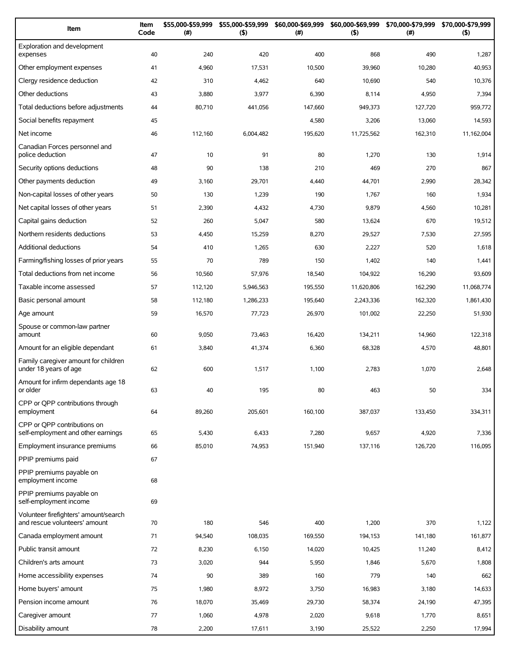| Item                                                                   | Item<br>Code | \$55,000-\$59,999<br>(#) | \$55,000-\$59,999<br>(5) | \$60,000-\$69,999<br>(#) | \$60,000-\$69,999<br>(5) | \$70,000-\$79,999<br>$(\#)$ | \$70,000-\$79,999<br>(5) |
|------------------------------------------------------------------------|--------------|--------------------------|--------------------------|--------------------------|--------------------------|-----------------------------|--------------------------|
| Exploration and development<br>expenses                                | 40           | 240                      | 420                      | 400                      | 868                      | 490                         | 1,287                    |
| Other employment expenses                                              | 41           | 4,960                    | 17,531                   | 10,500                   | 39,960                   | 10,280                      | 40,953                   |
| Clergy residence deduction                                             | 42           | 310                      | 4,462                    | 640                      | 10,690                   | 540                         | 10,376                   |
| Other deductions                                                       | 43           | 3,880                    | 3,977                    | 6,390                    | 8,114                    | 4,950                       | 7,394                    |
| Total deductions before adjustments                                    | 44           | 80,710                   | 441,056                  | 147,660                  | 949,373                  | 127,720                     | 959,772                  |
| Social benefits repayment                                              | 45           |                          |                          | 4,580                    | 3,206                    | 13,060                      | 14,593                   |
| Net income                                                             | 46           | 112,160                  | 6,004,482                | 195,620                  | 11,725,562               | 162,310                     | 11,162,004               |
| Canadian Forces personnel and<br>police deduction                      | 47           | 10                       | 91                       | 80                       | 1,270                    | 130                         | 1,914                    |
| Security options deductions                                            | 48           | 90                       | 138                      | 210                      | 469                      | 270                         | 867                      |
| Other payments deduction                                               | 49           | 3,160                    | 29,701                   | 4,440                    | 44,701                   | 2,990                       | 28,342                   |
| Non-capital losses of other years                                      | 50           | 130                      | 1,239                    | 190                      | 1,767                    | 160                         | 1,934                    |
| Net capital losses of other years                                      | 51           | 2,390                    | 4,432                    | 4,730                    | 9,879                    | 4,560                       | 10,281                   |
| Capital gains deduction                                                | 52           | 260                      | 5,047                    | 580                      | 13,624                   | 670                         | 19,512                   |
| Northern residents deductions                                          | 53           | 4,450                    | 15,259                   | 8,270                    | 29,527                   | 7,530                       | 27,595                   |
| <b>Additional deductions</b>                                           | 54           | 410                      | 1,265                    | 630                      | 2,227                    | 520                         | 1,618                    |
| Farming/fishing losses of prior years                                  | 55           | 70                       | 789                      | 150                      | 1,402                    | 140                         | 1,441                    |
| Total deductions from net income                                       | 56           | 10,560                   | 57,976                   | 18,540                   | 104,922                  | 16,290                      | 93,609                   |
| Taxable income assessed                                                | 57           | 112,120                  | 5,946,563                | 195,550                  | 11,620,806               | 162,290                     | 11,068,774               |
| Basic personal amount                                                  | 58           | 112,180                  | 1,286,233                | 195,640                  | 2,243,336                | 162,320                     | 1,861,430                |
| Age amount                                                             | 59           | 16,570                   | 77,723                   | 26,970                   | 101,002                  | 22,250                      | 51,930                   |
| Spouse or common-law partner                                           |              |                          |                          |                          |                          |                             |                          |
| amount                                                                 | 60           | 9,050                    | 73,463                   | 16,420                   | 134,211                  | 14,960                      | 122,318                  |
| Amount for an eligible dependant                                       | 61           | 3,840                    | 41,374                   | 6,360                    | 68,328                   | 4,570                       | 48,801                   |
| Family caregiver amount for children<br>under 18 years of age          | 62           | 600                      | 1,517                    | 1,100                    | 2,783                    | 1,070                       | 2,648                    |
| Amount for infirm dependants age 18<br>or older                        | 63           | 40                       | 195                      | 80                       | 463                      | 50                          | 334                      |
| CPP or OPP contributions through<br>employment                         | 64           | 89,260                   | 205,601                  | 160,100                  | 387,037                  | 133,450                     | 334,311                  |
| CPP or OPP contributions on<br>self-employment and other earnings      | 65           | 5,430                    | 6,433                    | 7,280                    | 9,657                    | 4,920                       | 7,336                    |
| Employment insurance premiums                                          | 66           | 85,010                   | 74,953                   | 151,940                  | 137,116                  | 126,720                     | 116,095                  |
| PPIP premiums paid                                                     | 67           |                          |                          |                          |                          |                             |                          |
| PPIP premiums payable on<br>employment income                          | 68           |                          |                          |                          |                          |                             |                          |
| PPIP premiums payable on<br>self-employment income                     | 69           |                          |                          |                          |                          |                             |                          |
| Volunteer firefighters' amount/search<br>and rescue volunteers' amount | 70           | 180                      | 546                      | 400                      | 1,200                    | 370                         | 1,122                    |
| Canada employment amount                                               | 71           | 94,540                   | 108,035                  | 169,550                  | 194,153                  | 141,180                     | 161,877                  |
| Public transit amount                                                  | 72           | 8,230                    | 6,150                    | 14,020                   | 10,425                   | 11,240                      | 8,412                    |
| Children's arts amount                                                 | 73           | 3,020                    | 944                      | 5,950                    | 1,846                    | 5,670                       | 1,808                    |
| Home accessibility expenses                                            | 74           | 90                       | 389                      | 160                      | 779                      | 140                         | 662                      |
| Home buyers' amount                                                    | 75           | 1,980                    | 8,972                    | 3,750                    | 16,983                   | 3,180                       | 14,633                   |
| Pension income amount                                                  | 76           | 18,070                   | 35,469                   | 29,730                   | 58,374                   | 24,190                      | 47,395                   |
| Caregiver amount                                                       | 77           | 1,060                    | 4,978                    | 2,020                    | 9,618                    | 1,770                       | 8,651                    |
| Disability amount                                                      | 78           | 2,200                    | 17,611                   | 3,190                    | 25,522                   | 2,250                       | 17,994                   |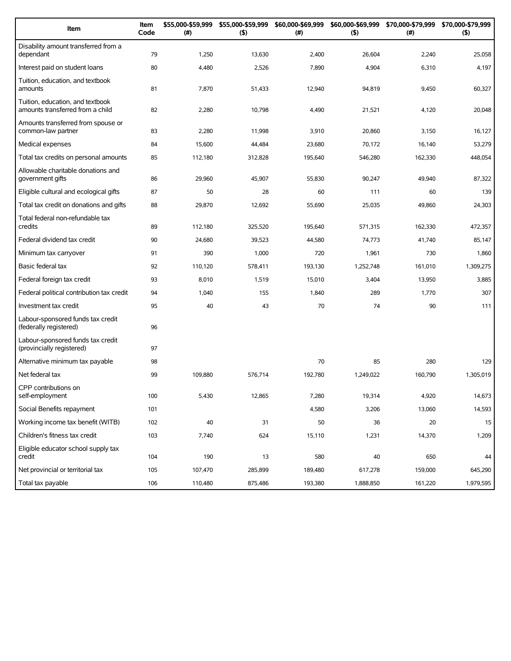| Item                                                                 | Item<br>Code | \$55,000-\$59,999<br>(#) | \$55,000-\$59,999<br>(5) | \$60,000-\$69,999<br>(#) | (5)       | \$60,000-\$69,999 \$70,000-\$79,999<br>$(\#)$ | \$70,000-\$79,999<br>(5) |
|----------------------------------------------------------------------|--------------|--------------------------|--------------------------|--------------------------|-----------|-----------------------------------------------|--------------------------|
| Disability amount transferred from a<br>dependant                    | 79           | 1,250                    | 13,630                   | 2,400                    | 26,604    | 2,240                                         | 25,058                   |
| Interest paid on student loans                                       | 80           | 4,480                    | 2,526                    | 7,890                    | 4,904     | 6,310                                         | 4,197                    |
| Tuition, education, and textbook<br>amounts                          | 81           | 7,870                    | 51,433                   | 12,940                   | 94,819    | 9,450                                         | 60,327                   |
| Tuition, education, and textbook<br>amounts transferred from a child | 82           | 2,280                    | 10,798                   | 4,490                    | 21,521    | 4,120                                         | 20,048                   |
| Amounts transferred from spouse or<br>common-law partner             | 83           | 2,280                    | 11,998                   | 3,910                    | 20,860    | 3,150                                         | 16,127                   |
| Medical expenses                                                     | 84           | 15,600                   | 44,484                   | 23,680                   | 70,172    | 16,140                                        | 53,279                   |
| Total tax credits on personal amounts                                | 85           | 112,180                  | 312,828                  | 195,640                  | 546,280   | 162,330                                       | 448,054                  |
| Allowable charitable donations and<br>government gifts               | 86           | 29,960                   | 45,907                   | 55,830                   | 90,247    | 49,940                                        | 87,322                   |
| Eligible cultural and ecological gifts                               | 87           | 50                       | 28                       | 60                       | 111       | 60                                            | 139                      |
| Total tax credit on donations and gifts                              | 88           | 29,870                   | 12,692                   | 55,690                   | 25,035    | 49,860                                        | 24,303                   |
| Total federal non-refundable tax<br>credits                          | 89           | 112.180                  | 325,520                  | 195,640                  | 571.315   | 162,330                                       | 472,357                  |
| Federal dividend tax credit                                          | 90           | 24,680                   | 39,523                   | 44,580                   | 74,773    | 41,740                                        | 85,147                   |
| Minimum tax carryover                                                | 91           | 390                      | 1,000                    | 720                      | 1,961     | 730                                           | 1,860                    |
| Basic federal tax                                                    | 92           | 110,120                  | 578,411                  | 193,130                  | 1,252,748 | 161,010                                       | 1,309,275                |
| Federal foreign tax credit                                           | 93           | 8,010                    | 1,519                    | 15,010                   | 3,404     | 13,950                                        | 3,885                    |
| Federal political contribution tax credit                            | 94           | 1,040                    | 155                      | 1,840                    | 289       | 1,770                                         | 307                      |
| Investment tax credit                                                | 95           | 40                       | 43                       | 70                       | 74        | 90                                            | 111                      |
| Labour-sponsored funds tax credit<br>(federally registered)          | 96           |                          |                          |                          |           |                                               |                          |
| Labour-sponsored funds tax credit<br>(provincially registered)       | 97           |                          |                          |                          |           |                                               |                          |
| Alternative minimum tax payable                                      | 98           |                          |                          | 70                       | 85        | 280                                           | 129                      |
| Net federal tax                                                      | 99           | 109,880                  | 576,714                  | 192,780                  | 1,249,022 | 160,790                                       | 1,305,019                |
| CPP contributions on<br>self-employment                              | 100          | 5,430                    | 12,865                   | 7,280                    | 19,314    | 4,920                                         | 14,673                   |
| Social Benefits repayment                                            | 101          |                          |                          | 4,580                    | 3,206     | 13,060                                        | 14,593                   |
| Working income tax benefit (WITB)                                    | 102          | 40                       | 31                       | 50                       | 36        | 20                                            | 15                       |
| Children's fitness tax credit                                        | 103          | 7,740                    | 624                      | 15,110                   | 1,231     | 14,370                                        | 1,209                    |
| Eligible educator school supply tax<br>credit                        | 104          | 190                      | 13                       | 580                      | 40        | 650                                           | 44                       |
| Net provincial or territorial tax                                    | 105          | 107,470                  | 285,899                  | 189,480                  | 617,278   | 159,000                                       | 645,290                  |
| Total tax payable                                                    | 106          | 110,480                  | 875,486                  | 193,380                  | 1,888,850 | 161,220                                       | 1,979,595                |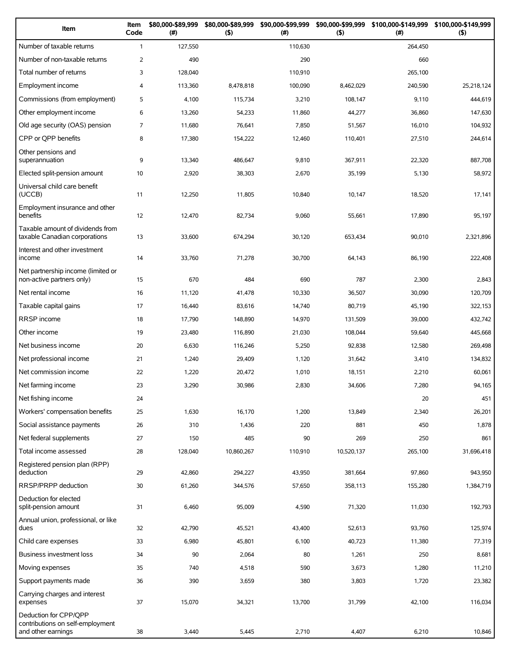| Item                                                                            | Item<br>Code   | \$80,000-\$89,999<br>$(\#)$ | \$80,000-\$89,999<br>(5) | \$90,000-\$99,999<br>(# ) | \$90,000-\$99,999<br>$($ \$) | \$100,000-\$149,999<br>(#) | \$100,000-\$149,999<br>$($ \$) |
|---------------------------------------------------------------------------------|----------------|-----------------------------|--------------------------|---------------------------|------------------------------|----------------------------|--------------------------------|
| Number of taxable returns                                                       | $\mathbf{1}$   | 127,550                     |                          | 110,630                   |                              | 264,450                    |                                |
| Number of non-taxable returns                                                   | $\overline{2}$ | 490                         |                          | 290                       |                              | 660                        |                                |
| Total number of returns                                                         | 3              | 128,040                     |                          | 110,910                   |                              | 265,100                    |                                |
| Employment income                                                               | $\overline{4}$ | 113,360                     | 8,478,818                | 100,090                   | 8,462,029                    | 240,590                    | 25,218,124                     |
| Commissions (from employment)                                                   | 5              | 4,100                       | 115,734                  | 3,210                     | 108,147                      | 9,110                      | 444,619                        |
| Other employment income                                                         | 6              | 13,260                      | 54,233                   | 11,860                    | 44,277                       | 36,860                     | 147,630                        |
| Old age security (OAS) pension                                                  | 7              | 11.680                      | 76,641                   | 7,850                     | 51,567                       | 16,010                     | 104,932                        |
| CPP or QPP benefits                                                             | 8              | 17,380                      | 154,222                  | 12,460                    | 110,401                      | 27,510                     | 244,614                        |
| Other pensions and<br>superannuation                                            | 9              | 13,340                      | 486,647                  | 9,810                     | 367,911                      | 22,320                     | 887,708                        |
| Elected split-pension amount                                                    | 10             | 2,920                       | 38,303                   | 2,670                     | 35,199                       | 5,130                      | 58,972                         |
| Universal child care benefit<br>(UCCB)                                          | 11             | 12,250                      | 11,805                   | 10,840                    | 10,147                       | 18,520                     | 17,141                         |
| Employment insurance and other<br>benefits                                      | 12             | 12,470                      | 82,734                   | 9,060                     | 55,661                       | 17,890                     | 95,197                         |
| Taxable amount of dividends from<br>taxable Canadian corporations               | 13             | 33,600                      | 674,294                  | 30,120                    | 653,434                      | 90,010                     | 2,321,896                      |
| Interest and other investment<br>income                                         | 14             | 33,760                      | 71,278                   | 30,700                    | 64,143                       | 86,190                     | 222,408                        |
| Net partnership income (limited or<br>non-active partners only)                 | 15             | 670                         | 484                      | 690                       | 787                          | 2,300                      | 2,843                          |
| Net rental income                                                               | 16             | 11,120                      | 41,478                   | 10,330                    | 36,507                       | 30,090                     | 120,709                        |
| Taxable capital gains                                                           | 17             | 16,440                      | 83,616                   | 14,740                    | 80,719                       | 45,190                     | 322,153                        |
| RRSP income                                                                     | 18             | 17,790                      | 148,890                  | 14,970                    | 131,509                      | 39,000                     | 432,742                        |
| Other income                                                                    | 19             | 23,480                      | 116,890                  | 21,030                    | 108,044                      | 59,640                     | 445,668                        |
| Net business income                                                             | 20             | 6,630                       | 116,246                  | 5,250                     | 92,838                       | 12,580                     | 269,498                        |
| Net professional income                                                         | 21             | 1,240                       | 29,409                   | 1,120                     | 31,642                       | 3,410                      | 134,832                        |
| Net commission income                                                           | 22             | 1,220                       | 20,472                   | 1,010                     | 18,151                       | 2,210                      | 60,061                         |
| Net farming income                                                              | 23             | 3,290                       | 30,986                   | 2,830                     | 34,606                       | 7,280                      | 94,165                         |
| Net fishing income                                                              | 24             |                             |                          |                           |                              | 20                         | 451                            |
| Workers' compensation benefits                                                  | 25             | 1,630                       | 16,170                   | 1,200                     | 13,849                       | 2,340                      | 26,201                         |
| Social assistance payments                                                      | 26             | 310                         | 1,436                    | 220                       | 881                          | 450                        | 1,878                          |
| Net federal supplements                                                         | 27             | 150                         | 485                      | 90                        | 269                          | 250                        | 861                            |
| Total income assessed                                                           | 28             | 128,040                     | 10,860,267               | 110,910                   | 10,520,137                   | 265,100                    | 31,696,418                     |
| Registered pension plan (RPP)<br>deduction                                      | 29             | 42,860                      | 294,227                  | 43,950                    | 381,664                      | 97,860                     | 943,950                        |
| RRSP/PRPP deduction                                                             | 30             | 61,260                      | 344,576                  | 57,650                    | 358,113                      | 155,280                    | 1,384,719                      |
| Deduction for elected<br>split-pension amount                                   | 31             | 6,460                       | 95,009                   | 4,590                     | 71,320                       | 11,030                     | 192,793                        |
| Annual union, professional, or like<br>dues                                     | 32             | 42,790                      | 45,521                   | 43,400                    | 52,613                       | 93,760                     | 125,974                        |
| Child care expenses                                                             | 33             | 6,980                       | 45,801                   | 6,100                     | 40,723                       | 11,380                     | 77,319                         |
| Business investment loss                                                        | 34             | 90                          | 2,064                    | 80                        | 1,261                        | 250                        | 8,681                          |
| Moving expenses                                                                 | 35             | 740                         | 4,518                    | 590                       | 3,673                        | 1,280                      | 11,210                         |
| Support payments made                                                           | 36             | 390                         | 3,659                    | 380                       | 3,803                        | 1,720                      | 23,382                         |
| Carrying charges and interest<br>expenses                                       | 37             | 15,070                      | 34,321                   | 13,700                    | 31,799                       | 42,100                     | 116,034                        |
| Deduction for CPP/QPP<br>contributions on self-employment<br>and other earnings | 38             | 3,440                       | 5,445                    | 2,710                     | 4,407                        | 6,210                      | 10,846                         |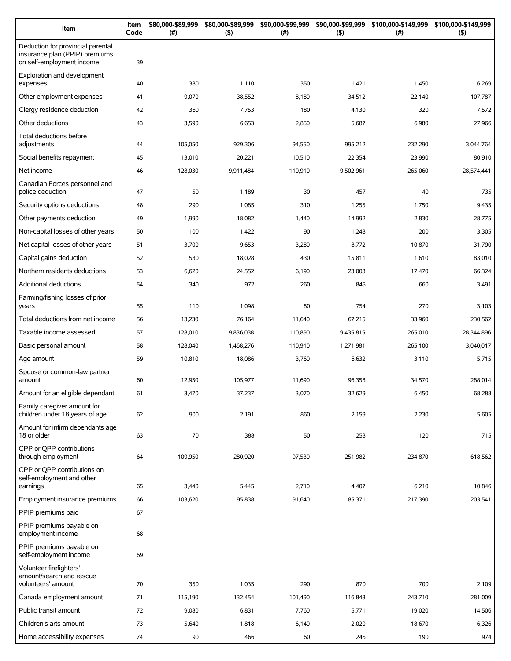| Item                                                                                             | Item<br>Code | \$80,000-\$89,999<br>(# ) | \$80,000-\$89,999<br>$($ \$) | \$90,000-\$99,999<br>(#) | \$90,000-\$99,999<br>(5) | \$100,000-\$149,999<br>(#) | \$100,000-\$149,999<br>$($ \$) |
|--------------------------------------------------------------------------------------------------|--------------|---------------------------|------------------------------|--------------------------|--------------------------|----------------------------|--------------------------------|
| Deduction for provincial parental<br>insurance plan (PPIP) premiums<br>on self-employment income | 39           |                           |                              |                          |                          |                            |                                |
| Exploration and development<br>expenses                                                          | 40           | 380                       | 1,110                        | 350                      | 1,421                    | 1,450                      | 6,269                          |
| Other employment expenses                                                                        | 41           | 9,070                     | 38,552                       | 8,180                    | 34,512                   | 22,140                     | 107,787                        |
| Clergy residence deduction                                                                       | 42           | 360                       | 7,753                        | 180                      | 4,130                    | 320                        | 7,572                          |
| Other deductions                                                                                 | 43           | 3,590                     | 6,653                        | 2,850                    | 5,687                    | 6,980                      | 27,966                         |
| Total deductions before<br>adjustments                                                           | 44           | 105,050                   | 929,306                      | 94,550                   | 995,212                  | 232,290                    | 3,044,764                      |
| Social benefits repayment                                                                        | 45           | 13,010                    | 20,221                       | 10,510                   | 22,354                   | 23,990                     | 80,910                         |
| Net income                                                                                       | 46           | 128,030                   | 9,911,484                    | 110,910                  | 9,502,961                | 265,060                    | 28,574,441                     |
| Canadian Forces personnel and<br>police deduction                                                | 47           | 50                        | 1,189                        | 30                       | 457                      | 40                         | 735                            |
| Security options deductions                                                                      | 48           | 290                       | 1,085                        | 310                      | 1,255                    | 1,750                      | 9,435                          |
| Other payments deduction                                                                         | 49           | 1,990                     | 18,082                       | 1,440                    | 14,992                   | 2,830                      | 28,775                         |
| Non-capital losses of other years                                                                | 50           | 100                       | 1,422                        | 90                       | 1,248                    | 200                        | 3,305                          |
| Net capital losses of other years                                                                | 51           | 3,700                     | 9,653                        | 3,280                    | 8,772                    | 10,870                     | 31,790                         |
| Capital gains deduction                                                                          | 52           | 530                       | 18,028                       | 430                      | 15,811                   | 1,610                      | 83,010                         |
| Northern residents deductions                                                                    | 53           | 6,620                     | 24,552                       | 6,190                    | 23,003                   | 17,470                     | 66,324                         |
| Additional deductions                                                                            | 54           | 340                       | 972                          | 260                      | 845                      | 660                        | 3,491                          |
| Farming/fishing losses of prior<br>years                                                         | 55           | 110                       | 1,098                        | 80                       | 754                      | 270                        | 3,103                          |
| Total deductions from net income                                                                 | 56           | 13,230                    | 76,164                       | 11,640                   | 67,215                   | 33,960                     | 230,562                        |
| Taxable income assessed                                                                          | 57           | 128,010                   | 9,836,038                    | 110,890                  | 9,435,815                | 265,010                    | 28,344,896                     |
| Basic personal amount                                                                            | 58           | 128,040                   | 1,468,276                    | 110,910                  | 1,271,981                | 265,100                    | 3,040,017                      |
| Age amount                                                                                       | 59           | 10,810                    | 18,086                       | 3,760                    | 6,632                    | 3,110                      | 5,715                          |
| Spouse or common-law partner<br>amount                                                           | 60           | 12,950                    | 105,977                      | 11,690                   | 96,358                   | 34,570                     | 288,014                        |
| Amount for an eligible dependant                                                                 | 61           | 3,470                     | 37,237                       | 3,070                    | 32,629                   | 6,450                      | 68,288                         |
| Family caregiver amount for                                                                      |              |                           |                              |                          |                          |                            |                                |
| children under 18 years of age                                                                   | 62           | 900                       | 2,191                        | 860                      | 2,159                    | 2,230                      | 5,605                          |
| Amount for infirm dependants age<br>18 or older                                                  | 63           | 70                        | 388                          | 50                       | 253                      | 120                        | 715                            |
| CPP or OPP contributions<br>through employment                                                   | 64           | 109,950                   | 280,920                      | 97,530                   | 251,982                  | 234,870                    | 618,562                        |
| CPP or QPP contributions on<br>self-employment and other<br>earnings                             | 65           | 3,440                     | 5,445                        | 2,710                    | 4,407                    | 6,210                      | 10,846                         |
| Employment insurance premiums                                                                    | 66           | 103,620                   | 95,838                       | 91,640                   | 85,371                   | 217,390                    | 203,541                        |
| PPIP premiums paid                                                                               | 67           |                           |                              |                          |                          |                            |                                |
| PPIP premiums payable on<br>employment income                                                    | 68           |                           |                              |                          |                          |                            |                                |
| PPIP premiums payable on<br>self-employment income                                               | 69           |                           |                              |                          |                          |                            |                                |
| Volunteer firefighters'<br>amount/search and rescue<br>volunteers' amount                        | 70           | 350                       | 1,035                        | 290                      | 870                      | 700                        | 2,109                          |
| Canada employment amount                                                                         | 71           | 115,190                   | 132,454                      | 101,490                  | 116,843                  | 243,710                    | 281,009                        |
| Public transit amount                                                                            | 72           | 9,080                     | 6,831                        | 7,760                    | 5,771                    | 19,020                     | 14,506                         |
| Children's arts amount                                                                           | 73           | 5,640                     | 1,818                        | 6,140                    | 2,020                    | 18,670                     | 6,326                          |
| Home accessibility expenses                                                                      | 74           | 90                        | 466                          | 60                       | 245                      | 190                        | 974                            |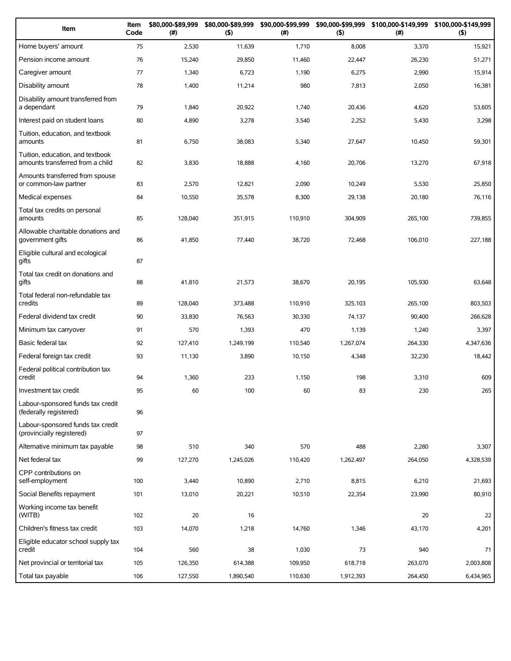| Item                                                                 | Item<br>Code | \$80,000-\$89,999<br>(# ) | \$80,000-\$89,999<br>(5) | \$90,000-\$99,999<br>(#) | \$90,000-\$99,999<br>(5) | \$100,000-\$149,999<br>(#) | \$100,000-\$149,999<br>(5) |
|----------------------------------------------------------------------|--------------|---------------------------|--------------------------|--------------------------|--------------------------|----------------------------|----------------------------|
| Home buyers' amount                                                  | 75           | 2,530                     | 11,639                   | 1,710                    | 8,008                    | 3,370                      | 15,921                     |
| Pension income amount                                                | 76           | 15,240                    | 29,850                   | 11,460                   | 22,447                   | 26,230                     | 51,271                     |
| Caregiver amount                                                     | 77           | 1,340                     | 6,723                    | 1,190                    | 6,275                    | 2,990                      | 15,914                     |
| Disability amount                                                    | 78           | 1,400                     | 11,214                   | 980                      | 7,813                    | 2,050                      | 16,381                     |
| Disability amount transferred from<br>a dependant                    | 79           | 1,840                     | 20,922                   | 1,740                    | 20,436                   | 4,620                      | 53,605                     |
| Interest paid on student loans                                       | 80           | 4,890                     | 3,278                    | 3,540                    | 2,252                    | 5,430                      | 3,298                      |
| Tuition, education, and textbook<br>amounts                          | 81           | 6,750                     | 38,083                   | 5,340                    | 27,647                   | 10,450                     | 59,301                     |
| Tuition, education, and textbook<br>amounts transferred from a child | 82           | 3,830                     | 18,888                   | 4,160                    | 20,706                   | 13,270                     | 67,918                     |
| Amounts transferred from spouse<br>or common-law partner             | 83           | 2,570                     | 12,821                   | 2,090                    | 10,249                   | 5,530                      | 25,850                     |
| Medical expenses                                                     | 84           | 10,550                    | 35,578                   | 8,300                    | 29,138                   | 20,180                     | 76,116                     |
| Total tax credits on personal<br>amounts                             | 85           | 128,040                   | 351,915                  | 110,910                  | 304,909                  | 265,100                    | 739,855                    |
| Allowable charitable donations and<br>government gifts               | 86           | 41,850                    | 77,440                   | 38,720                   | 72,468                   | 106,010                    | 227,188                    |
| Eligible cultural and ecological<br>gifts                            | 87           |                           |                          |                          |                          |                            |                            |
| Total tax credit on donations and<br>qifts                           | 88           | 41,810                    | 21,573                   | 38,670                   | 20,195                   | 105,930                    | 63,648                     |
| Total federal non-refundable tax<br>credits                          | 89           | 128,040                   | 373,488                  | 110,910                  | 325,103                  | 265,100                    | 803,503                    |
| Federal dividend tax credit                                          | 90           | 33,830                    | 76,563                   | 30,330                   | 74,137                   | 90,400                     | 266,628                    |
| Minimum tax carryover                                                | 91           | 570                       | 1,393                    | 470                      | 1,139                    | 1,240                      | 3,397                      |
| Basic federal tax                                                    | 92           | 127,410                   | 1,249,199                | 110,540                  | 1,267,074                | 264,330                    | 4,347,636                  |
| Federal foreign tax credit                                           | 93           | 11,130                    | 3,890                    | 10,150                   | 4,348                    | 32,230                     | 18,442                     |
| Federal political contribution tax<br>credit                         | 94           | 1,360                     | 233                      | 1,150                    | 198                      | 3,310                      | 609                        |
| Investment tax credit                                                | 95           | 60                        | 100                      | 60                       | 83                       | 230                        | 265                        |
| Labour-sponsored funds tax credit<br>(federally registered)          | 96           |                           |                          |                          |                          |                            |                            |
| Labour-sponsored funds tax credit<br>(provincially registered)       | 97           |                           |                          |                          |                          |                            |                            |
| Alternative minimum tax payable                                      | 98           | 510                       | 340                      | 570                      | 488                      | 2,280                      | 3,307                      |
| Net federal tax                                                      | 99           | 127,270                   | 1,245,026                | 110,420                  | 1,262,497                | 264,050                    | 4,328,539                  |
| CPP contributions on<br>self-employment                              | 100          | 3,440                     | 10,890                   | 2,710                    | 8,815                    | 6,210                      | 21,693                     |
| Social Benefits repayment                                            | 101          | 13,010                    | 20,221                   | 10,510                   | 22,354                   | 23,990                     | 80,910                     |
| Working income tax benefit<br>(WITB)                                 | 102          | 20                        | 16                       |                          |                          | 20                         | 22                         |
| Children's fitness tax credit                                        | 103          | 14,070                    | 1,218                    | 14,760                   | 1,346                    | 43,170                     | 4,201                      |
| Eligible educator school supply tax<br>credit                        | 104          | 560                       | 38                       | 1,030                    | 73                       | 940                        | 71                         |
| Net provincial or territorial tax                                    | 105          | 126,350                   | 614,388                  | 109,950                  | 618,718                  | 263,070                    | 2,003,808                  |
| Total tax payable                                                    | 106          | 127,550                   | 1,890,540                | 110,630                  | 1,912,393                | 264,450                    | 6,434,965                  |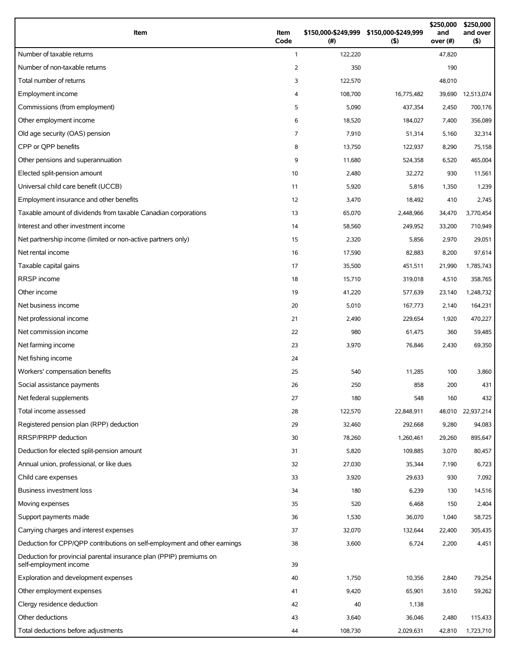| Item                                                                                          | Item<br>Code   | (#)     | \$150,000-\$249,999 \$150,000-\$249,999<br>(5) | \$250,000<br>and<br>over (#) | \$250,000<br>and over<br>$($ \$) |
|-----------------------------------------------------------------------------------------------|----------------|---------|------------------------------------------------|------------------------------|----------------------------------|
| Number of taxable returns                                                                     | $\mathbf{1}$   | 122,220 |                                                | 47,820                       |                                  |
| Number of non-taxable returns                                                                 | 2              | 350     |                                                | 190                          |                                  |
| Total number of returns                                                                       | 3              | 122,570 |                                                | 48,010                       |                                  |
| Employment income                                                                             | 4              | 108,700 | 16,775,482                                     | 39,690                       | 12,513,074                       |
| Commissions (from employment)                                                                 | 5              | 5,090   | 437,354                                        | 2,450                        | 700,176                          |
| Other employment income                                                                       | 6              | 18,520  | 184,027                                        | 7,400                        | 356,089                          |
| Old age security (OAS) pension                                                                | $\overline{7}$ | 7,910   | 51,314                                         | 5,160                        | 32,314                           |
| CPP or OPP benefits                                                                           | 8              | 13,750  | 122,937                                        | 8,290                        | 75,158                           |
| Other pensions and superannuation                                                             | 9              | 11,680  | 524,358                                        | 6,520                        | 465,004                          |
| Elected split-pension amount                                                                  | 10             | 2,480   | 32,272                                         | 930                          | 11,561                           |
| Universal child care benefit (UCCB)                                                           | 11             | 5,920   | 5,816                                          | 1,350                        | 1,239                            |
| Employment insurance and other benefits                                                       | 12             | 3,470   | 18,492                                         | 410                          | 2,745                            |
| Taxable amount of dividends from taxable Canadian corporations                                | 13             | 65,070  | 2,448,966                                      | 34,470                       | 3,770,454                        |
| Interest and other investment income                                                          | 14             | 58,560  | 249,952                                        | 33,200                       | 710,949                          |
| Net partnership income (limited or non-active partners only)                                  | 15             | 2,320   | 5,856                                          | 2,970                        | 29,051                           |
| Net rental income                                                                             | 16             | 17,590  | 82,883                                         | 8,200                        | 97,614                           |
| Taxable capital gains                                                                         | 17             | 35,500  | 451,511                                        | 21,990                       | 1,785,743                        |
| <b>RRSP</b> income                                                                            | 18             | 15,710  | 319,018                                        | 4,510                        | 358,765                          |
| Other income                                                                                  | 19             | 41,220  | 577,639                                        | 23,140                       | 1,248,732                        |
| Net business income                                                                           | 20             | 5,010   | 167,773                                        | 2,140                        | 164,231                          |
| Net professional income                                                                       | 21             | 2,490   | 229,654                                        | 1,920                        | 470,227                          |
| Net commission income                                                                         | 22             | 980     | 61,475                                         | 360                          | 59,485                           |
| Net farming income                                                                            | 23             | 3,970   | 76,846                                         | 2,430                        | 69,350                           |
| Net fishing income                                                                            | 24             |         |                                                |                              |                                  |
| Workers' compensation benefits                                                                | 25             | 540     | 11,285                                         | 100                          | 3,860                            |
| Social assistance payments                                                                    | 26             | 250     | 858                                            | 200                          | 431                              |
| Net federal supplements                                                                       | 27             | 180     | 548                                            | 160                          | 432                              |
| Total income assessed                                                                         | 28             | 122,570 | 22,848,911                                     | 48,010                       | 22,937,214                       |
| Registered pension plan (RPP) deduction                                                       | 29             | 32,460  | 292,668                                        | 9,280                        | 94,083                           |
| RRSP/PRPP deduction                                                                           | 30             | 78,260  | 1,260,461                                      | 29,260                       | 895,647                          |
| Deduction for elected split-pension amount                                                    | 31             | 5,820   | 109,885                                        | 3,070                        | 80,457                           |
| Annual union, professional, or like dues                                                      | 32             | 27,030  | 35,344                                         | 7,190                        | 6,723                            |
| Child care expenses                                                                           | 33             | 3,920   | 29,633                                         | 930                          | 7,092                            |
| <b>Business investment loss</b>                                                               | 34             | 180     | 6,239                                          | 130                          | 14,516                           |
| Moving expenses                                                                               | 35             | 520     | 6,468                                          | 150                          | 2,404                            |
| Support payments made                                                                         | 36             | 1,530   | 36,070                                         | 1,040                        | 58,725                           |
| Carrying charges and interest expenses                                                        | 37             | 32,070  | 132,644                                        | 22,400                       | 305,435                          |
| Deduction for CPP/QPP contributions on self-employment and other earnings                     | 38             | 3,600   | 6,724                                          | 2,200                        | 4,451                            |
| Deduction for provincial parental insurance plan (PPIP) premiums on<br>self-employment income | 39             |         |                                                |                              |                                  |
| Exploration and development expenses                                                          | 40             | 1,750   | 10,356                                         | 2,840                        | 79,254                           |
| Other employment expenses                                                                     | 41             | 9,420   | 65,901                                         | 3,610                        | 59,262                           |
| Clergy residence deduction                                                                    | 42             | 40      | 1,138                                          |                              |                                  |
| Other deductions                                                                              | 43             | 3,640   | 36,046                                         | 2,480                        | 115,433                          |
| Total deductions before adjustments                                                           | 44             | 108,730 | 2,029,631                                      | 42,810                       | 1,723,710                        |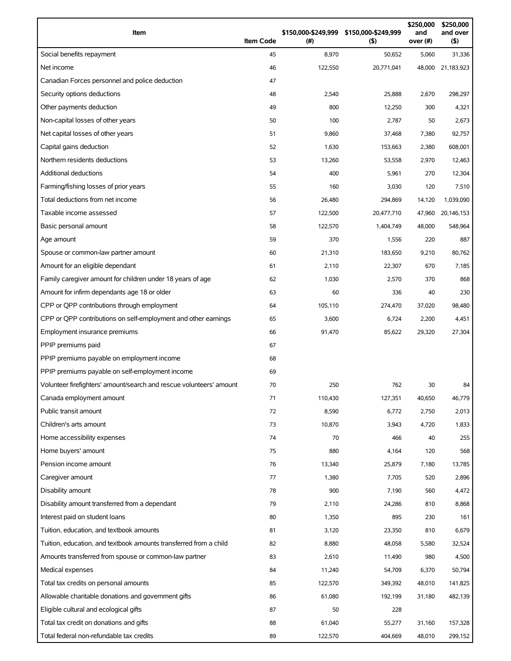| Item                                                                | <b>Item Code</b> | (#)     | \$150,000-\$249,999 \$150,000-\$249,999<br>$($ \$) | \$250,000<br>and<br>over (#) | \$250,000<br>and over<br>(5) |
|---------------------------------------------------------------------|------------------|---------|----------------------------------------------------|------------------------------|------------------------------|
| Social benefits repayment                                           | 45               | 8,970   | 50,652                                             | 5,060                        | 31,336                       |
| Net income                                                          | 46               | 122,550 | 20,771,041                                         | 48,000                       | 21,183,923                   |
| Canadian Forces personnel and police deduction                      | 47               |         |                                                    |                              |                              |
| Security options deductions                                         | 48               | 2,540   | 25,888                                             | 2,670                        | 298,297                      |
| Other payments deduction                                            | 49               | 800     | 12,250                                             | 300                          | 4,321                        |
| Non-capital losses of other years                                   | 50               | 100     | 2,787                                              | 50                           | 2,673                        |
| Net capital losses of other years                                   | 51               | 9,860   | 37,468                                             | 7,380                        | 92,757                       |
| Capital gains deduction                                             | 52               | 1,630   | 153,663                                            | 2,380                        | 608,001                      |
| Northern residents deductions                                       | 53               | 13,260  | 53,558                                             | 2,970                        | 12,463                       |
| <b>Additional deductions</b>                                        | 54               | 400     | 5,961                                              | 270                          | 12,304                       |
| Farming/fishing losses of prior years                               | 55               | 160     | 3,030                                              | 120                          | 7,510                        |
| Total deductions from net income                                    | 56               | 26,480  | 294,869                                            | 14,120                       | 1,039,090                    |
| Taxable income assessed                                             | 57               | 122,500 | 20,477,710                                         | 47,960                       | 20,146,153                   |
| Basic personal amount                                               | 58               | 122,570 | 1,404,749                                          | 48,000                       | 548,964                      |
| Age amount                                                          | 59               | 370     | 1,556                                              | 220                          | 887                          |
| Spouse or common-law partner amount                                 | 60               | 21,310  | 183,650                                            | 9,210                        | 80,762                       |
| Amount for an eligible dependant                                    | 61               | 2,110   | 22,307                                             | 670                          | 7,185                        |
| Family caregiver amount for children under 18 years of age          | 62               | 1,030   | 2,570                                              | 370                          | 868                          |
| Amount for infirm dependants age 18 or older                        | 63               | 60      | 336                                                | 40                           | 230                          |
| CPP or QPP contributions through employment                         | 64               | 105,110 | 274,470                                            | 37,020                       | 98,480                       |
| CPP or QPP contributions on self-employment and other earnings      | 65               | 3,600   | 6,724                                              | 2,200                        | 4,451                        |
| Employment insurance premiums                                       | 66               | 91,470  | 85,622                                             | 29,320                       | 27,304                       |
| PPIP premiums paid                                                  | 67               |         |                                                    |                              |                              |
| PPIP premiums payable on employment income                          | 68               |         |                                                    |                              |                              |
| PPIP premiums payable on self-employment income                     | 69               |         |                                                    |                              |                              |
| Volunteer firefighters' amount/search and rescue volunteers' amount | 70               | 250     | 762                                                | 30                           | 84                           |
| Canada employment amount                                            | 71               | 110,430 | 127,351                                            | 40,650                       | 46,779                       |
| Public transit amount                                               | 72               | 8,590   | 6,772                                              | 2,750                        | 2,013                        |
| Children's arts amount                                              | 73               | 10,870  | 3,943                                              | 4,720                        | 1,833                        |
| Home accessibility expenses                                         | 74               | 70      | 466                                                | 40                           | 255                          |
| Home buyers' amount                                                 | 75               | 880     | 4,164                                              | 120                          | 568                          |
| Pension income amount                                               | 76               | 13,340  | 25,879                                             | 7,180                        | 13,785                       |
| Caregiver amount                                                    | 77               | 1,380   | 7,705                                              | 520                          | 2,896                        |
| Disability amount                                                   | 78               | 900     | 7,190                                              | 560                          | 4,472                        |
| Disability amount transferred from a dependant                      | 79               | 2,110   | 24,286                                             | 810                          | 8,868                        |
| Interest paid on student loans                                      | 80               | 1,350   | 895                                                | 230                          | 161                          |
| Tuition, education, and textbook amounts                            | 81               | 3,120   | 23,350                                             | 810                          | 6,679                        |
| Tuition, education, and textbook amounts transferred from a child   | 82               | 8,880   | 48,058                                             | 5,580                        | 32,524                       |
| Amounts transferred from spouse or common-law partner               | 83               | 2,610   | 11,490                                             | 980                          | 4,500                        |
| Medical expenses                                                    | 84               | 11,240  | 54,709                                             | 6,370                        | 50,794                       |
| Total tax credits on personal amounts                               | 85               | 122,570 | 349,392                                            | 48,010                       | 141,825                      |
| Allowable charitable donations and government gifts                 | 86               | 61,080  | 192,199                                            | 31,180                       | 482,139                      |
| Eligible cultural and ecological gifts                              | 87               | 50      | 228                                                |                              |                              |
| Total tax credit on donations and gifts                             | 88               | 61,040  | 55,277                                             | 31,160                       | 157,328                      |
| Total federal non-refundable tax credits                            | 89               | 122,570 | 404,669                                            | 48,010                       | 299,152                      |